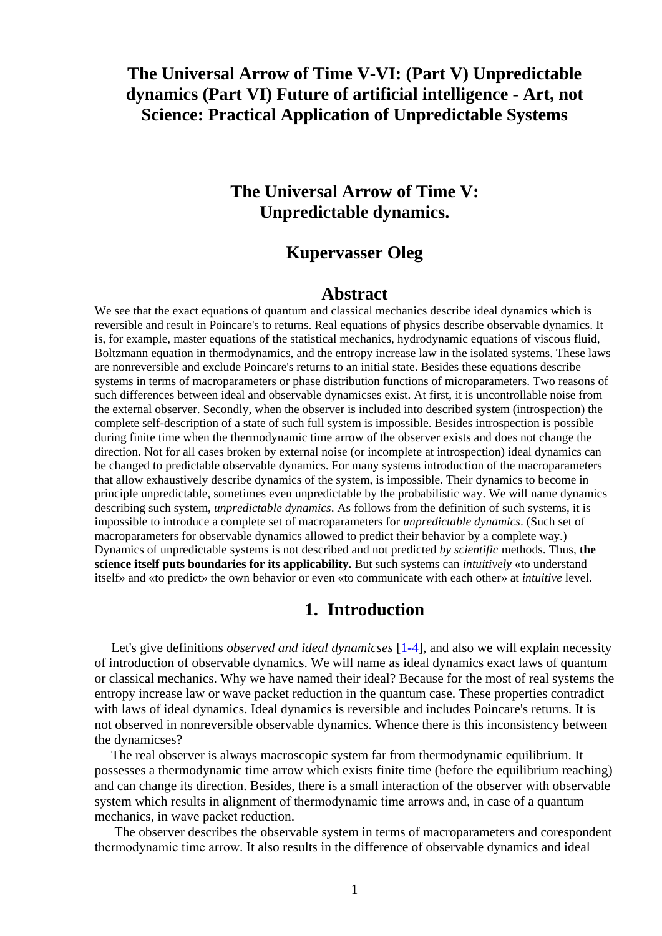# **The Universal Arrow of Time V-VI: (Part V) Unpredictable dynamics (Part VI) Future of artificial intelligence - Art, not Science: Practical Application of Unpredictable Systems**

## **The Universal Arrow of Time V: Unpredictable dynamics.**

### **Kupervasser Oleg**

#### **Abstract**

We see that the exact equations of quantum and classical mechanics describe ideal dynamics which is reversible and result in Poincare's to returns. Real equations of physics describe observable dynamics. It is, for example, master equations of the statistical mechanics, hydrodynamic equations of viscous fluid, Boltzmann equation in thermodynamics, and the entropy increase law in the isolated systems. These laws are nonreversible and exclude Poincare's returns to an initial state. Besides these equations describe systems in terms of macroparameters or phase distribution functions of microparameters. Two reasons of such differences between ideal and observable dynamicses exist. At first, it is uncontrollable noise from the external observer. Secondly, when the observer is included into described system (introspection) the complete self-description of a state of such full system is impossible. Besides introspection is possible during finite time when the thermodynamic time arrow of the observer exists and does not change the direction. Not for all cases broken by external noise (or incomplete at introspection) ideal dynamics can be changed to predictable observable dynamics. For many systems introduction of the macroparameters that allow exhaustively describe dynamics of the system, is impossible. Their dynamics to become in principle unpredictable, sometimes even unpredictable by the probabilistic way. We will name dynamics describing such system, *unpredictable dynamics*. As follows from the definition of such systems, it is impossible to introduce a complete set of macroparameters for *unpredictable dynamics*. (Such set of macroparameters for observable dynamics allowed to predict their behavior by a complete way.) Dynamics of unpredictable systems is not described and not predicted *by scientific* methods. Thus, **the science itself puts boundaries for its applicability.** But such systems can *intuitively* «to understand itself» and «to predict» the own behavior or even «to communicate with each other» at *intuitive* level.

### **1. Introduction**

 Let's give definitions *observed and ideal dynamicses* [1-4], and also we will explain necessity of introduction of observable dynamics. We will name as ideal dynamics exact laws of quantum or classical mechanics. Why we have named their ideal? Because for the most of real systems the entropy increase law or wave packet reduction in the quantum case. These properties contradict with laws of ideal dynamics. Ideal dynamics is reversible and includes Poincare's returns. It is not observed in nonreversible observable dynamics. Whence there is this inconsistency between the dynamicses?

 The real observer is always macroscopic system far from thermodynamic equilibrium. It possesses a thermodynamic time arrow which exists finite time (before the equilibrium reaching) and can change its direction. Besides, there is a small interaction of the observer with observable system which results in alignment of thermodynamic time arrows and, in case of a quantum mechanics, in wave packet reduction.

 The observer describes the observable system in terms of macroparameters and corespondent thermodynamic time arrow. It also results in the difference of observable dynamics and ideal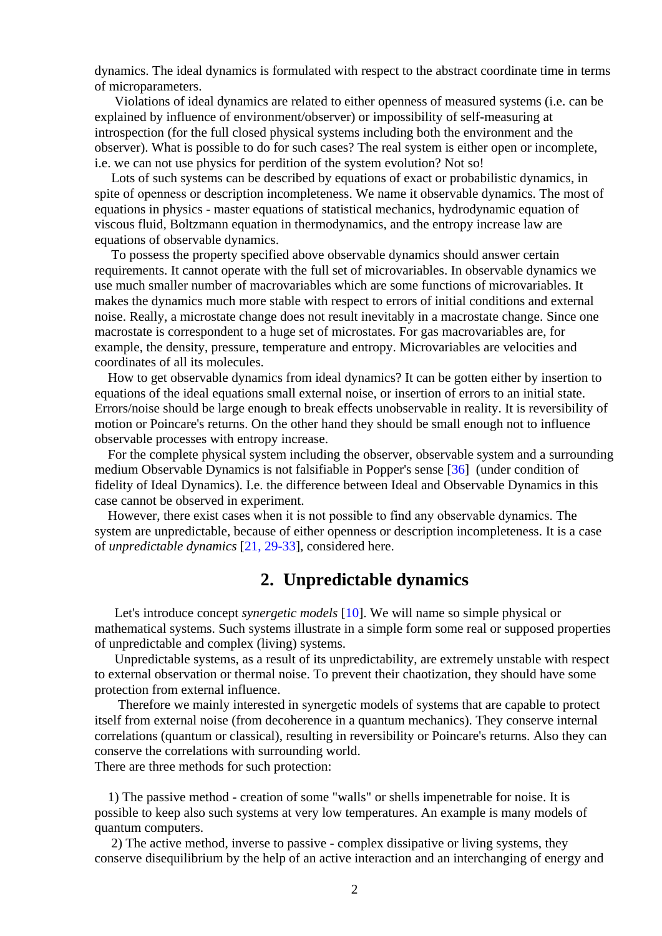dynamics. The ideal dynamics is formulated with respect to the abstract coordinate time in terms of microparameters.

 Violations of ideal dynamics are related to either openness of measured systems (i.e. can be explained by influence of environment/observer) or impossibility of self-measuring at introspection (for the full closed physical systems including both the environment and the observer). What is possible to do for such cases? The real system is either open or incomplete, i.e. we can not use physics for perdition of the system evolution? Not so!

 Lots of such systems can be described by equations of exact or probabilistic dynamics, in spite of openness or description incompleteness. We name it observable dynamics. The most of equations in physics - master equations of statistical mechanics, hydrodynamic equation of viscous fluid, Boltzmann equation in thermodynamics, and the entropy increase law are equations of observable dynamics.

 To possess the property specified above observable dynamics should answer certain requirements. It cannot operate with the full set of microvariables. In observable dynamics we use much smaller number of macrovariables which are some functions of microvariables. It makes the dynamics much more stable with respect to errors of initial conditions and external noise. Really, a microstate change does not result inevitably in a macrostate change. Since one macrostate is correspondent to a huge set of microstates. For gas macrovariables are, for example, the density, pressure, temperature and entropy. Microvariables are velocities and coordinates of all its molecules.

 How to get observable dynamics from ideal dynamics? It can be gotten either by insertion to equations of the ideal equations small external noise, or insertion of errors to an initial state. Errors/noise should be large enough to break effects unobservable in reality. It is reversibility of motion or Poincare's returns. On the other hand they should be small enough not to influence observable processes with entropy increase.

 For the complete physical system including the observer, observable system and a surrounding medium Observable Dynamics is not falsifiable in Popper's sense [36] (under condition of fidelity of Ideal Dynamics). I.e. the difference between Ideal and Observable Dynamics in this case cannot be observed in experiment.

 However, there exist cases when it is not possible to find any observable dynamics. The system are unpredictable, because of either openness or description incompleteness. It is a case of *unpredictable dynamics* [21, 29-33], considered here.

### **2. Unpredictable dynamics**

 Let's introduce concept *synergetic models* [10]. We will name so simple physical or mathematical systems. Such systems illustrate in a simple form some real or supposed properties of unpredictable and complex (living) systems.

 Unpredictable systems, as a result of its unpredictability, are extremely unstable with respect to external observation or thermal noise. To prevent their chaotization, they should have some protection from external influence.

 Therefore we mainly interested in synergetic models of systems that are capable to protect itself from external noise (from decoherence in a quantum mechanics). They conserve internal correlations (quantum or classical), resulting in reversibility or Poincare's returns. Also they can conserve the correlations with surrounding world.

There are three methods for such protection:

 1) The passive method - creation of some "walls" or shells impenetrable for noise. It is possible to keep also such systems at very low temperatures. An example is many models of quantum computers.

 2) The active method, inverse to passive - complex dissipative or living systems, they conserve disequilibrium by the help of an active interaction and an interchanging of energy and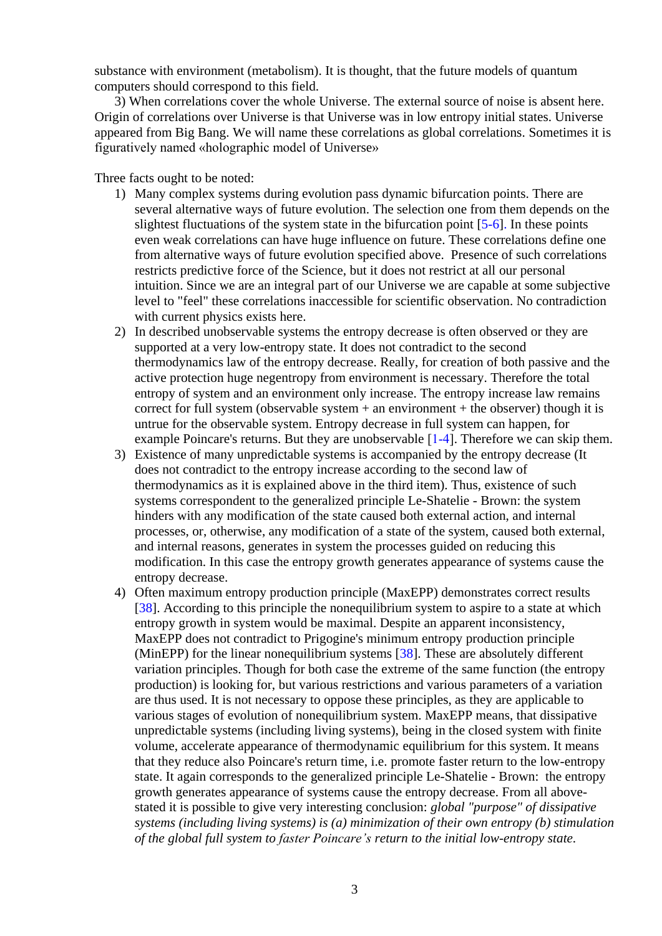substance with environment (metabolism). It is thought, that the future models of quantum computers should correspond to this field.

 3) When correlations cover the whole Universe. The external source of noise is absent here. Origin of correlations over Universe is that Universe was in low entropy initial states. Universe appeared from Big Bang. We will name these correlations as global correlations. Sometimes it is figuratively named «holographic model of Universe»

Three facts ought to be noted:

- 1) Many complex systems during evolution pass dynamic bifurcation points. There are several alternative ways of future evolution. The selection one from them depends on the slightest fluctuations of the system state in the bifurcation point [5-6]. In these points even weak correlations can have huge influence on future. These correlations define one from alternative ways of future evolution specified above. Presence of such correlations restricts predictive force of the Science, but it does not restrict at all our personal intuition. Since we are an integral part of our Universe we are capable at some subjective level to "feel" these correlations inaccessible for scientific observation. No contradiction with current physics exists here.
- 2) In described unobservable systems the entropy decrease is often observed or they are supported at a very low-entropy state. It does not contradict to the second thermodynamics law of the entropy decrease. Really, for creation of both passive and the active protection huge negentropy from environment is necessary. Therefore the total entropy of system and an environment only increase. The entropy increase law remains correct for full system (observable system  $+$  an environment  $+$  the observer) though it is untrue for the observable system. Entropy decrease in full system can happen, for example Poincare's returns. But they are unobservable [1-4]. Therefore we can skip them.
- 3) Existence of many unpredictable systems is accompanied by the entropy decrease (It does not contradict to the entropy increase according to the second law of thermodynamics as it is explained above in the third item). Thus, existence of such systems correspondent to the generalized principle Le-Shatelie - Brown: the system hinders with any modification of the state caused both external action, and internal processes, or, otherwise, any modification of a state of the system, caused both external, and internal reasons, generates in system the processes guided on reducing this modification. In this case the entropy growth generates appearance of systems cause the entropy decrease.
- 4) Often maximum entropy production principle (MaxEPP) demonstrates correct results [38]. According to this principle the nonequilibrium system to aspire to a state at which entropy growth in system would be maximal. Despite an apparent inconsistency, MaxEPP does not contradict to Prigogine's minimum entropy production principle (MinEPP) for the linear nonequilibrium systems [38]. These are absolutely different variation principles. Though for both case the extreme of the same function (the entropy production) is looking for, but various restrictions and various parameters of a variation are thus used. It is not necessary to oppose these principles, as they are applicable to various stages of evolution of nonequilibrium system. MaxEPP means, that dissipative unpredictable systems (including living systems), being in the closed system with finite volume, accelerate appearance of thermodynamic equilibrium for this system. It means that they reduce also Poincare's return time, i.e. promote faster return to the low-entropy state. It again corresponds to the generalized principle Le-Shatelie - Brown: the entropy growth generates appearance of systems cause the entropy decrease. From all abovestated it is possible to give very interesting conclusion: *global "purpose" of dissipative systems (including living systems) is (a) minimization of their own entropy (b) stimulation of the global full system to faster Poincare's return to the initial low-entropy state.*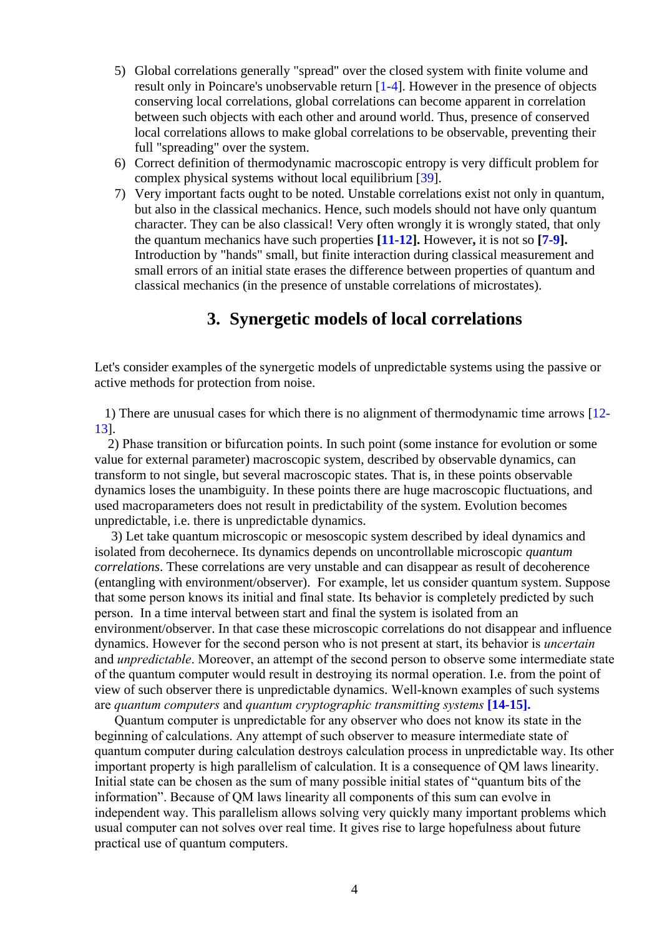- 5) Global correlations generally "spread" over the closed system with finite volume and result only in Poincare's unobservable return [1-4]. However in the presence of objects conserving local correlations, global correlations can become apparent in correlation between such objects with each other and around world. Thus, presence of conserved local correlations allows to make global correlations to be observable, preventing their full "spreading" over the system.
- 6) Correct definition of thermodynamic macroscopic entropy is very difficult problem for complex physical systems without local equilibrium [39].
- 7) Very important facts ought to be noted. Unstable correlations exist not only in quantum, but also in the classical mechanics. Hence, such models should not have only quantum character. They can be also classical! Very often wrongly it is wrongly stated, that only the quantum mechanics have such properties **[11-12].** However**,** it is not so **[7-9].** Introduction by "hands" small, but finite interaction during classical measurement and small errors of an initial state erases the difference between properties of quantum and classical mechanics (in the presence of unstable correlations of microstates).

## **3. Synergetic models of local correlations**

Let's consider examples of the synergetic models of unpredictable systems using the passive or active methods for protection from noise.

 1) There are unusual cases for which there is no alignment of thermodynamic time arrows [12- 13].

 2) Phase transition or bifurcation points. In such point (some instance for evolution or some value for external parameter) macroscopic system, described by observable dynamics, can transform to not single, but several macroscopic states. That is, in these points observable dynamics loses the unambiguity. In these points there are huge macroscopic fluctuations, and used macroparameters does not result in predictability of the system. Evolution becomes unpredictable, i.e. there is unpredictable dynamics.

 3) Let take quantum microscopic or mesoscopic system described by ideal dynamics and isolated from decohernece. Its dynamics depends on uncontrollable microscopic *quantum correlations*. These correlations are very unstable and can disappear as result of decoherence (entangling with environment/observer). For example, let us consider quantum system. Suppose that some person knows its initial and final state. Its behavior is completely predicted by such person. In a time interval between start and final the system is isolated from an environment/observer. In that case these microscopic correlations do not disappear and influence dynamics. However for the second person who is not present at start, its behavior is *uncertain* and *unpredictable*. Moreover, an attempt of the second person to observe some intermediate state of the quantum computer would result in destroying its normal operation. I.e. from the point of view of such observer there is unpredictable dynamics. Well-known examples of such systems are *quantum computers* and *quantum cryptographic transmitting systems* **[14-15].**

 Quantum computer is unpredictable for any observer who does not know its state in the beginning of calculations. Any attempt of such observer to measure intermediate state of quantum computer during calculation destroys calculation process in unpredictable way. Its other important property is high parallelism of calculation. It is a consequence of QM laws linearity. Initial state can be chosen as the sum of many possible initial states of "quantum bits of the information". Because of QM laws linearity all components of this sum can evolve in independent way. This parallelism allows solving very quickly many important problems which usual computer can not solves over real time. It gives rise to large hopefulness about future practical use of quantum computers.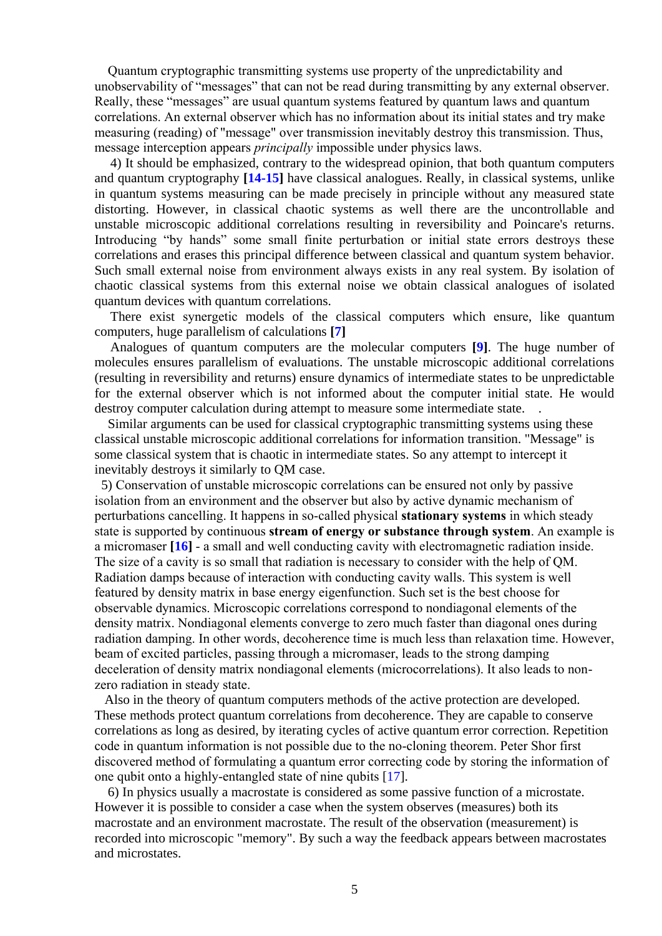Quantum cryptographic transmitting systems use property of the unpredictability and unobservability of "messages" that can not be read during transmitting by any external observer. Really, these "messages" are usual quantum systems featured by quantum laws and quantum correlations. An external observer which has no information about its initial states and try make measuring (reading) of "message" over transmission inevitably destroy this transmission. Thus, message interception appears *principally* impossible under physics laws.

4) It should be emphasized, contrary to the widespread opinion, that both quantum computers and quantum cryptography **[14-15]** have classical analogues. Really, in classical systems, unlike in quantum systems measuring can be made precisely in principle without any measured state distorting. However, in classical chaotic systems as well there are the uncontrollable and unstable microscopic additional correlations resulting in reversibility and Poincare's returns. Introducing "by hands" some small finite perturbation or initial state errors destroys these correlations and erases this principal difference between classical and quantum system behavior. Such small external noise from environment always exists in any real system. By isolation of chaotic classical systems from this external noise we obtain classical analogues of isolated quantum devices with quantum correlations.

There exist synergetic models of the classical computers which ensure, like quantum computers, huge parallelism of calculations **[7]**

Analogues of quantum computers are the molecular computers **[9]**. The huge number of molecules ensures parallelism of evaluations. The unstable microscopic additional correlations (resulting in reversibility and returns) ensure dynamics of intermediate states to be unpredictable for the external observer which is not informed about the computer initial state. He would destroy computer calculation during attempt to measure some intermediate state.

 Similar arguments can be used for classical cryptographic transmitting systems using these classical unstable microscopic additional correlations for information transition. "Message" is some classical system that is chaotic in intermediate states. So any attempt to intercept it inevitably destroys it similarly to QM case.

 5) Conservation of unstable microscopic correlations can be ensured not only by passive isolation from an environment and the observer but also by active dynamic mechanism of perturbations cancelling. It happens in so-called physical **stationary systems** in which steady state is supported by continuous **stream of energy or substance through system**. An example is a micromaser **[16]** - a small and well conducting cavity with electromagnetic radiation inside. The size of a cavity is so small that radiation is necessary to consider with the help of QM. Radiation damps because of interaction with conducting cavity walls. This system is well featured by density matrix in base energy eigenfunction. Such set is the best choose for observable dynamics. Microscopic correlations correspond to nondiagonal elements of the density matrix. Nondiagonal elements converge to zero much faster than diagonal ones during radiation damping. In other words, decoherence time is much less than relaxation time. However, beam of excited particles, passing through a micromaser, leads to the strong damping deceleration of density matrix nondiagonal elements (microcorrelations). It also leads to nonzero radiation in steady state.

 Also in the theory of quantum computers methods of the active protection are developed. These methods protect quantum correlations from decoherence. They are capable to conserve correlations as long as desired, by iterating cycles of active quantum error correction. Repetition code in quantum information is not possible due to the no-cloning theorem. Peter Shor first discovered method of formulating a quantum error correcting code by storing the information of one qubit onto a highly-entangled state of nine qubits [17].

 6) In physics usually a macrostate is considered as some passive function of a microstate. However it is possible to consider a case when the system observes (measures) both its macrostate and an environment macrostate. The result of the observation (measurement) is recorded into microscopic "memory". By such a way the feedback appears between macrostates and microstates.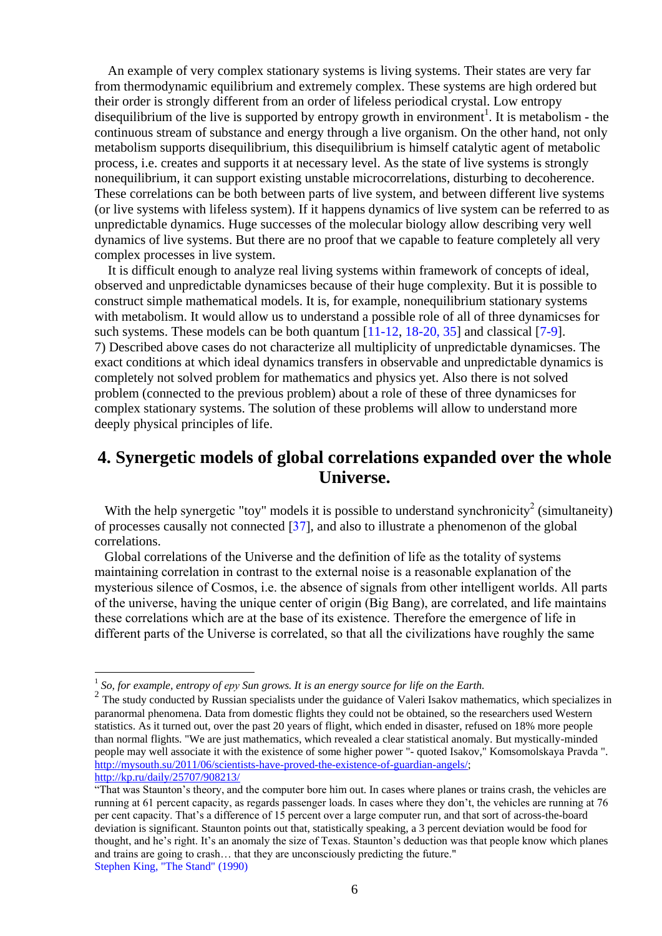An example of very complex stationary systems is living systems. Their states are very far from thermodynamic equilibrium and extremely complex. These systems are high ordered but their order is strongly different from an order of lifeless periodical crystal. Low entropy disequilibrium of the live is supported by entropy growth in environment<sup>1</sup>. It is metabolism - the continuous stream of substance and energy through a live organism. On the other hand, not only metabolism supports disequilibrium, this disequilibrium is himself catalytic agent of metabolic process, i.e. creates and supports it at necessary level. As the state of live systems is strongly nonequilibrium, it can support existing unstable microcorrelations, disturbing to decoherence. These correlations can be both between parts of live system, and between different live systems (or live systems with lifeless system). If it happens dynamics of live system can be referred to as unpredictable dynamics. Huge successes of the molecular biology allow describing very well dynamics of live systems. But there are no proof that we capable to feature completely all very complex processes in live system.

 It is difficult enough to analyze real living systems within framework of concepts of ideal, observed and unpredictable dynamicses because of their huge complexity. But it is possible to construct simple mathematical models. It is, for example, nonequilibrium stationary systems with metabolism. It would allow us to understand a possible role of all of three dynamicses for such systems. These models can be both quantum [11-12, 18-20, 35] and classical [7-9]. 7) Described above cases do not characterize all multiplicity of unpredictable dynamicses. The exact conditions at which ideal dynamics transfers in observable and unpredictable dynamics is completely not solved problem for mathematics and physics yet. Also there is not solved problem (connected to the previous problem) about a role of these of three dynamicses for complex stationary systems. The solution of these problems will allow to understand more deeply physical principles of life.

# **4. Synergetic models of global correlations expanded over the whole Universe.**

With the help synergetic "toy" models it is possible to understand synchronicity<sup>2</sup> (simultaneity) of processes causally not connected [37], and also to illustrate a phenomenon of the global correlations.

 Global correlations of the Universe and the definition of life as the totality of systems maintaining correlation in contrast to the external noise is a reasonable explanation of the mysterious silence of Cosmos, i.e. the absence of signals from other intelligent worlds. All parts of the universe, having the unique center of origin (Big Bang), are correlated, and life maintains these correlations which are at the base of its existence. Therefore the emergence of life in different parts of the Universe is correlated, so that all the civilizations have roughly the same

1

<sup>1</sup> *So, for example, entropy of еру Sun grows. It is an energy source for life on the Earth.*

<sup>&</sup>lt;sup>2</sup> The study conducted by Russian specialists under the guidance of Valeri Isakov mathematics, which specializes in paranormal phenomena. Data from domestic flights they could not be obtained, so the researchers used Western statistics. As it turned out, over the past 20 years of flight, which ended in disaster, refused on 18% more people than normal flights. "We are just mathematics, which revealed a clear statistical anomaly. But mystically-minded people may well associate it with the existence of some higher power "- quoted Isakov," Komsomolskaya Pravda ". [http://mysouth.su/2011/06/scientists-have-proved-the-existence-of-guardian-angels/;](http://mysouth.su/2011/06/scientists-have-proved-the-existence-of-guardian-angels/) <http://kp.ru/daily/25707/908213/>

<sup>&</sup>quot;That was Staunton's theory, and the computer bore him out. In cases where planes or trains crash, the vehicles are running at 61 percent capacity, as regards passenger loads. In cases where they don't, the vehicles are running at 76 per cent capacity. That's a difference of 15 percent over a large computer run, and that sort of across-the-board deviation is significant. Staunton points out that, statistically speaking, a 3 percent deviation would be food for thought, and he's right. It's an anomaly the size of Texas. Staunton's deduction was that people know which planes and trains are going to crash… that they are unconsciously predicting the future." Stephen King, "The Stand" (1990)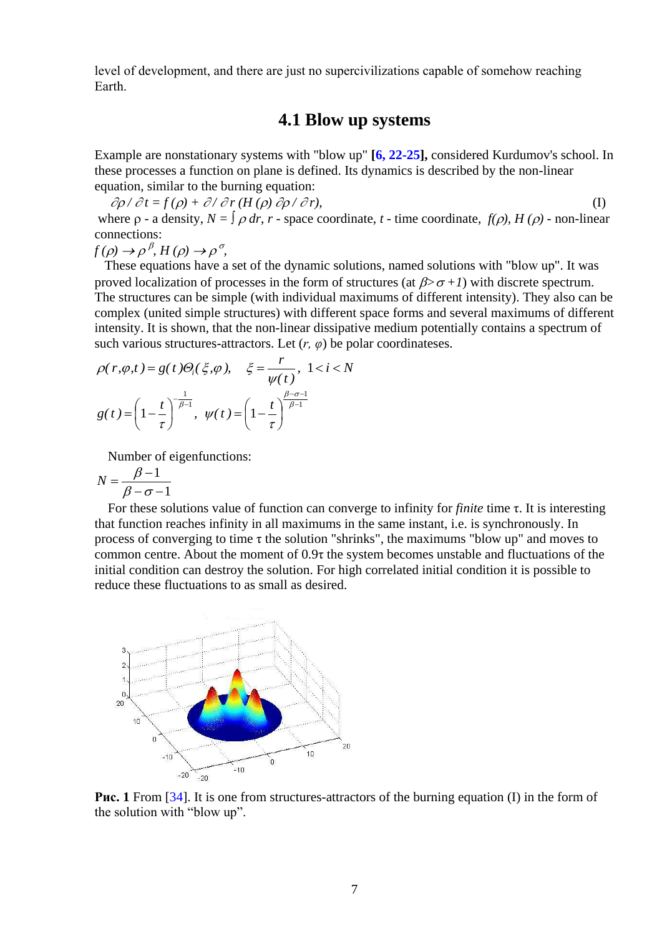level of development, and there are just no supercivilizations capable of somehow reaching Earth.

### **4.1 Blow up systems**

Example are nonstationary systems with "blow up" **[6, 22-25],** considered Kurdumov's school. In these processes a function on plane is defined. Its dynamics is described by the non-linear equation, similar to the burning equation:

 $\partial \rho / \partial t = f(\rho) + \partial / \partial r (H(\rho) \partial \rho / \partial r),$  (I) where  $\rho$  - a density,  $N = \int \rho dr$ ,  $r$  - space coordinate,  $t$  - time coordinate,  $f(\rho)$ ,  $H(\rho)$  - non-linear connections:

 $f(\rho) \rightarrow \rho^{\beta}, H(\rho) \rightarrow \rho^{\sigma},$ 

 These equations have a set of the dynamic solutions, named solutions with "blow up". It was proved localization of processes in the form of structures (at  $\beta > \sigma + 1$ ) with discrete spectrum. The structures can be simple (with individual maximums of different intensity). They also can be complex (united simple structures) with different space forms and several maximums of different intensity. It is shown, that the non-linear dissipative medium potentially contains a spectrum of such various structures-attractors. Let  $(r, \varphi)$  be polar coordinateses.

$$
\rho(r,\varphi,t) = g(t)\Theta_i(\xi,\varphi), \quad \xi = \frac{r}{\psi(t)}, \ 1 < i < N
$$
\n
$$
g(t) = \left(1 - \frac{t}{\tau}\right)^{-\frac{1}{\beta-1}}, \ \psi(t) = \left(1 - \frac{t}{\tau}\right)^{\frac{\beta-\sigma-1}{\beta-1}}
$$

Number of eigenfunctions:

$$
N = \frac{\beta - 1}{\beta - \sigma - 1}
$$

 For these solutions value of function can converge to infinity for *finite* time τ. It is interesting that function reaches infinity in all maximums in the same instant, i.e. is synchronously. In process of converging to time  $\tau$  the solution "shrinks", the maximums "blow up" and moves to common centre. About the moment of 0.9τ the system becomes unstable and fluctuations of the initial condition can destroy the solution. For high correlated initial condition it is possible to reduce these fluctuations to as small as desired.



**Рис. 1** From [34]. It is one from structures-attractors of the burning equation (I) in the form of the solution with "blow up".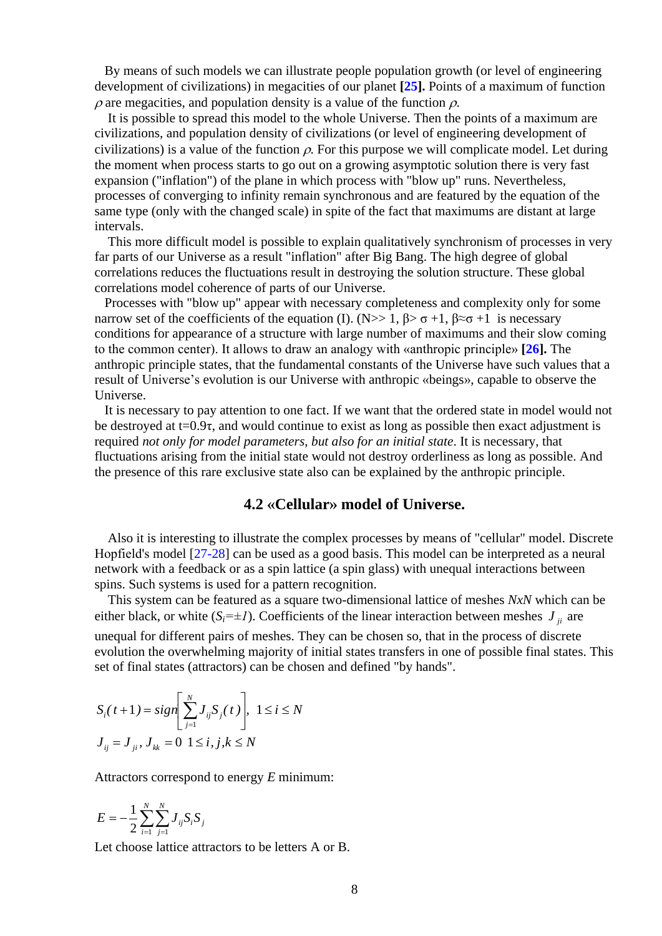By means of such models we can illustrate people population growth (or level of engineering development of civilizations) in megacities of our planet **[25].** Points of a maximum of function  $\rho$  are megacities, and population density is a value of the function  $\rho$ .

 It is possible to spread this model to the whole Universe. Then the points of a maximum are civilizations, and population density of civilizations (or level of engineering development of civilizations) is a value of the function  $\rho$ . For this purpose we will complicate model. Let during the moment when process starts to go out on a growing asymptotic solution there is very fast expansion ("inflation") of the plane in which process with "blow up" runs. Nevertheless, processes of converging to infinity remain synchronous and are featured by the equation of the same type (only with the changed scale) in spite of the fact that maximums are distant at large intervals.

 This more difficult model is possible to explain qualitatively synchronism of processes in very far parts of our Universe as a result "inflation" after Big Bang. The high degree of global correlations reduces the fluctuations result in destroying the solution structure. These global correlations model coherence of parts of our Universe.

 Processes with "blow up" appear with necessary completeness and complexity only for some narrow set of the coefficients of the equation (I). (N>> 1,  $\beta$ >  $\sigma$  +1,  $\beta \approx \sigma +1$  is necessary conditions for appearance of a structure with large number of maximums and their slow coming to the common center). It allows to draw an analogy with «anthropic principle» **[26].** The anthropic principle states, that the fundamental constants of the Universe have such values that a result of Universe's evolution is our Universe with anthropic «beings», capable to observe the Universe.

 It is necessary to pay attention to one fact. If we want that the ordered state in model would not be destroyed at  $t=0.9\tau$ , and would continue to exist as long as possible then exact adjustment is required *not only for model parameters*, *but also for an initial state*. It is necessary, that fluctuations arising from the initial state would not destroy orderliness as long as possible. And the presence of this rare exclusive state also can be explained by the anthropic principle.

#### **4.2 «Cellular» model of Universe.**

 Also it is interesting to illustrate the complex processes by means of "cellular" model. Discrete Hopfield's model [27-28] can be used as a good basis. This model can be interpreted as a neural network with a feedback or as a spin lattice (a spin glass) with unequal interactions between spins. Such systems is used for a pattern recognition.

 This system can be featured as a square two-dimensional lattice of meshes *NxN* which can be either black, or white  $(S_i = \pm I)$ . Coefficients of the linear interaction between meshes  $J_{ji}$  are unequal for different pairs of meshes. They can be chosen so, that in the process of discrete

evolution the overwhelming majority of initial states transfers in one of possible final states. This set of final states (attractors) can be chosen and defined "by hands".

$$
S_i(t+1) = sign\left[\sum_{j=1}^{N} J_{ij} S_j(t)\right], \ 1 \le i \le N
$$
  

$$
J_{ij} = J_{ji}, J_{kk} = 0 \ 1 \le i, j, k \le N
$$

Attractors correspond to energy *E* minimum:

$$
E = -\frac{1}{2} \sum_{i=1}^{N} \sum_{j=1}^{N} J_{ij} S_i S_j
$$

Let choose lattice attractors to be letters A or B.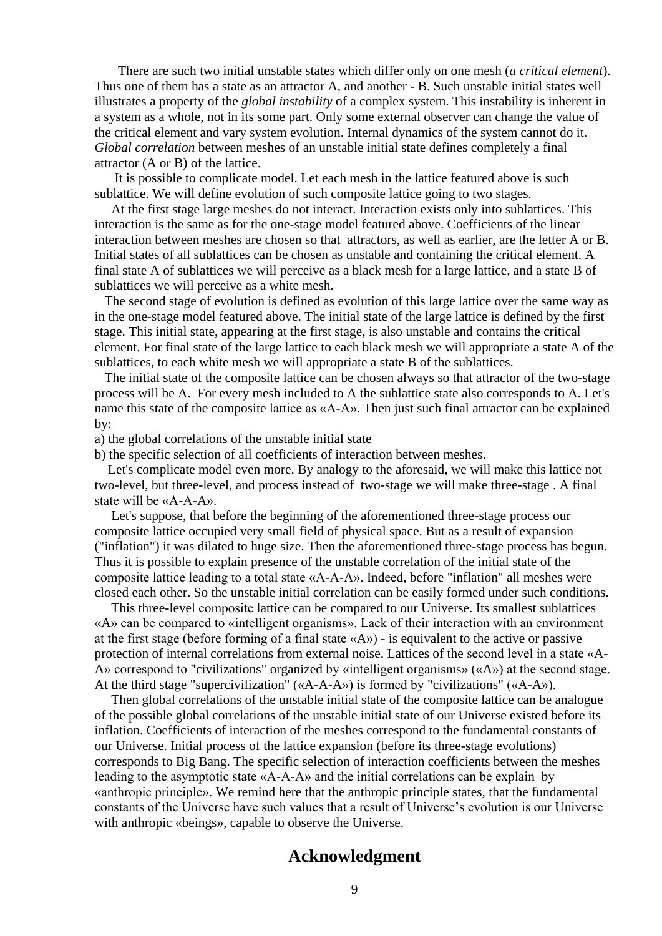There are such two initial unstable states which differ only on one mesh (*a critical element*). Thus one of them has a state as an attractor A, and another - B. Such unstable initial states well illustrates a property of the *global instability* of a complex system. This instability is inherent in a system as a whole, not in its some part. Only some external observer can change the value of the critical element and vary system evolution. Internal dynamics of the system cannot do it. *Global correlation* between meshes of an unstable initial state defines completely a final attractor (A or B) of the lattice.

 It is possible to complicate model. Let each mesh in the lattice featured above is such sublattice. We will define evolution of such composite lattice going to two stages.

 At the first stage large meshes do not interact. Interaction exists only into sublattices. This interaction is the same as for the one-stage model featured above. Coefficients of the linear interaction between meshes are chosen so that attractors, as well as earlier, are the letter A or B. Initial states of all sublattices can be chosen as unstable and containing the critical element. A final state A of sublattices we will perceive as a black mesh for a large lattice, and a state B of sublattices we will perceive as a white mesh.

 The second stage of evolution is defined as evolution of this large lattice over the same way as in the one-stage model featured above. The initial state of the large lattice is defined by the first stage. This initial state, appearing at the first stage, is also unstable and contains the critical element. For final state of the large lattice to each black mesh we will appropriate a state A of the sublattices, to each white mesh we will appropriate a state B of the sublattices.

 The initial state of the composite lattice can be chosen always so that attractor of the two-stage process will be A. For every mesh included to A the sublattice state also corresponds to A. Let's name this state of the composite lattice as «A-A». Then just such final attractor can be explained by:

a) the global correlations of the unstable initial state

b) the specific selection of all coefficients of interaction between meshes.

 Let's complicate model even more. By analogy to the aforesaid, we will make this lattice not two-level, but three-level, and process instead of two-stage we will make three-stage . A final state will be «А-А-A».

 Let's suppose, that before the beginning of the aforementioned three-stage process our composite lattice occupied very small field of physical space. But as a result of expansion ("inflation") it was dilated to huge size. Then the aforementioned three-stage process has begun. Thus it is possible to explain presence of the unstable correlation of the initial state of the composite lattice leading to a total state «А-А-A». Indeed, before "inflation" all meshes were closed each other. So the unstable initial correlation can be easily formed under such conditions.

 This three-level composite lattice can be compared to our Universe. Its smallest sublattices «A» can be compared to «intelligent organisms». Lack of their interaction with an environment at the first stage (before forming of a final state «A») - is equivalent to the active or passive protection of internal correlations from external noise. Lattices of the second level in a state «A-A» correspond to "civilizations" organized by «intelligent organisms» («A») at the second stage. At the third stage "supercivilization" («A-A-A») is formed by "civilizations" («A-A»).

 Then global correlations of the unstable initial state of the composite lattice can be analogue of the possible global correlations of the unstable initial state of our Universe existed before its inflation. Coefficients of interaction of the meshes correspond to the fundamental constants of our Universe. Initial process of the lattice expansion (before its three-stage evolutions) corresponds to Big Bang. The specific selection of interaction coefficients between the meshes leading to the asymptotic state «А-А-A» and the initial correlations can be explain by «anthropic principle». We remind here that the anthropic principle states, that the fundamental constants of the Universe have such values that a result of Universe's evolution is our Universe with anthropic «beings», capable to observe the Universe.

#### **Acknowledgment**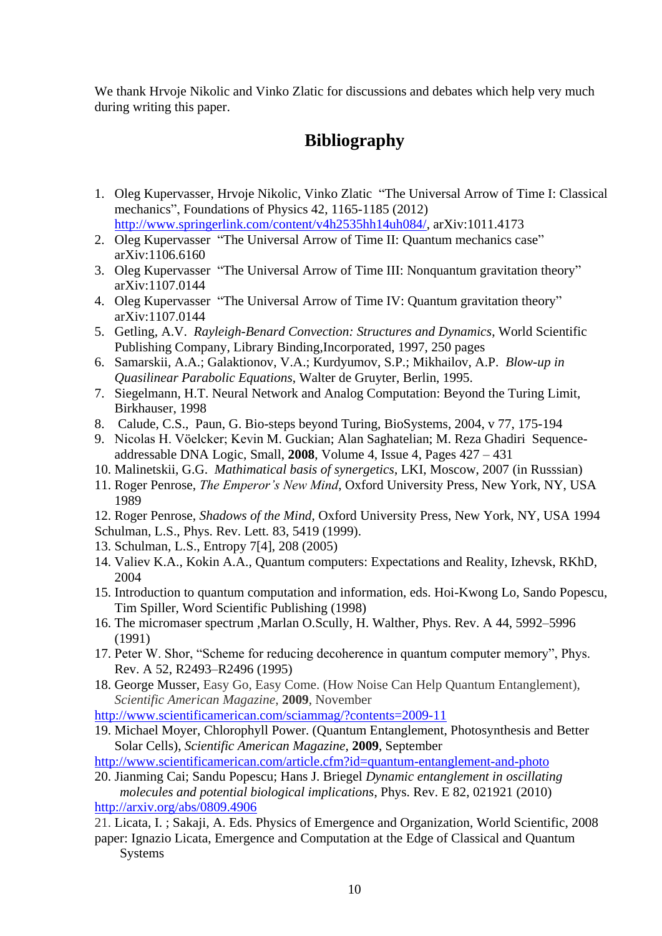We thank Hrvoje Nikolic and Vinko Zlatic for discussions and debates which help very much during writing this paper.

# **Bibliography**

- 1. Oleg Kupervasser, Hrvoje Nikolic, Vinko Zlatic "The Universal Arrow of Time I: Classical mechanics", Foundations of Physics 42, 1165-1185 (2012) [http://www.springerlink.com/content/v4h2535hh14uh084/,](http://www.springerlink.com/content/v4h2535hh14uh084/) arXiv:1011.4173
- 2. Oleg Kupervasser "The Universal Arrow of Time II: Quantum mechanics case" arXiv:1106.6160
- 3. Oleg Kupervasser "The Universal Arrow of Time III: Nonquantum gravitation theory" arXiv:1107.0144
- 4. Oleg Kupervasser "The Universal Arrow of Time IV: Quantum gravitation theory" arXiv:1107.0144
- 5. Getling, A.V. *Rayleigh-Benard Convection: Structures and Dynamics*, World Scientific Publishing Company, Library Binding,Incorporated, 1997, 250 pages
- 6. Samarskii, A.A.; Galaktionov, V.A.; Kurdyumov, S.P.; Mikhailov, A.P. *Blow-up in Quasilinear Parabolic Equations*, Walter de Gruyter, Berlin, 1995.
- 7. Siegelmann, H.T. Neural Network and Analog Computation: Beyond the Turing Limit, Birkhauser, 1998
- 8. Calude, C.S., Paun, G. Bio-steps beyond Turing, BioSystems, 2004, v 77, 175-194
- 9. Nicolas H. Vöelcker; Kevin M. Guckian; Alan Saghatelian; M. Reza Ghadiri Sequenceaddressable DNA Logic, Small, **2008**, Volume 4, Issue 4, Pages 427 – 431
- 10. Malinetskii, G.G. *Mathimatical basis of synergetics*, LKI, Moscow, 2007 (in Russsian)
- 11. Roger Penrose, *The Emperor's New Mind*, Oxford University Press, New York, NY, USA 1989
- 12. Roger Penrose, *Shadows of the Mind*, Oxford University Press, New York, NY, USA 1994
- Schulman, L.S., Phys. Rev. Lett. 83, 5419 (1999).
- 13. Schulman, L.S., Entropy 7[4], 208 (2005)
- 14. Valiev K.A., Kokin A.A., Quantum computers: Expectations and Reality, Izhevsk, RKhD, 2004
- 15. Introduction to quantum computation and information, eds. Hoi-Kwong Lo, Sando Popescu, Tim Spiller, Word Scientific Publishing (1998)
- 16. The micromaser spectrum ,Marlan O.Scully, H. Walther, Phys. Rev. A 44, 5992–5996 (1991)
- 17. Peter W. Shor, "Scheme for reducing decoherence in quantum computer memory", Phys. Rev. A 52, R2493–R2496 (1995)
- 18. [George Musser,](http://www.scientificamerican.com/author.cfm?id=109) Easy Go, Easy Come. (How Noise Can Help Quantum Entanglement), *Scientific American Magazine*, **2009**, November

<http://www.scientificamerican.com/sciammag/?contents=2009-11>

19. [Michael Moyer,](http://www.scientificamerican.com/author.cfm?id=1877) Chlorophyll Power. (Quantum Entanglement, Photosynthesis and Better Solar Cells), *Scientific American Magazine,* **2009**, September

<http://www.scientificamerican.com/article.cfm?id=quantum-entanglement-and-photo>

20. Jianming Cai; Sandu Popescu; Hans J. Briegel *Dynamic entanglement in oscillating molecules and potential biological implications*, Phys. Rev. E 82, 021921 (2010) <http://arxiv.org/abs/0809.4906>

21. Licata, I. ; Sakaji, A. Eds. Physics of Emergence and Organization, World Scientific, 2008

paper: Ignazio Licata, Emergence and Computation at the Edge of Classical and Quantum Systems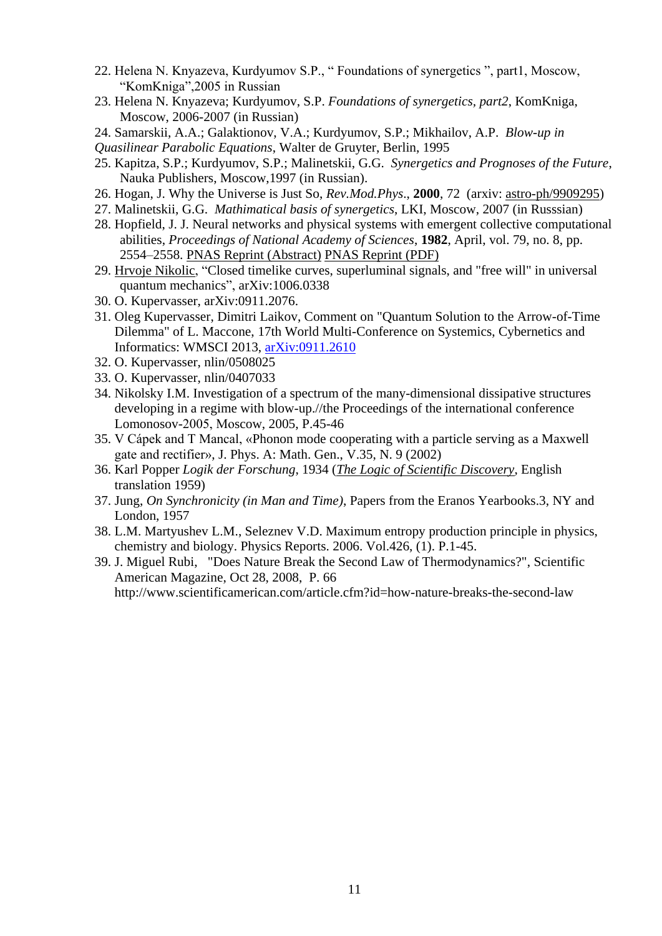- 22. Helena N. Knyazeva, Kurdyumov S.P., " Foundations of synergetics ", part1, Moscow, "KomKniga",2005 in Russian
- 23. Helena N. Knyazeva; Kurdyumov, S.P. *Foundations of synergetics, part2*, KomKniga, Moscow, 2006-2007 (in Russian)
- 24. Samarskii, A.A.; Galaktionov, V.A.; Kurdyumov, S.P.; Mikhailov, A.P. *Blow-up in*

*Quasilinear Parabolic Equations*, Walter de Gruyter, Berlin, 1995

- 25. Kapitza, S.P.; Kurdyumov, S.P.; Malinetskii, G.G. *Synergetics and Prognoses of the Future*, Nauka Publishers, Moscow,1997 (in Russian).
- 26. Hogan, J. Why the Universe is Just So, *Rev.Mod.Phys*., **2000**, 72 (arxiv: [astro-ph/9909295\)](http://www.arxiv.org/abs/astro-ph/9909295)
- 27. Malinetskii, G.G. *Mathimatical basis of synergetics*, LKI, Moscow, 2007 (in Russsian)
- 28. Hopfield, J. J. Neural networks and physical systems with emergent collective computational abilities, *Proceedings of National Academy of Sciences*, **1982**, April, vol. 79, no. 8, pp. 2554–2558. [PNAS Reprint \(Abstract\)](http://www.pnas.org/cgi/content/abstract/79/8/2554) [PNAS Reprint \(PDF\)](http://www.pnas.org/cgi/reprint/79/8/2554)
- 29. [Hrvoje Nikolic,](http://arxiv.org/find/cond-mat/1/au:+Nikolic_H/0/1/0/all/0/1) "Closed timelike curves, superluminal signals, and "free will" in universal quantum mechanics", arXiv:1006.0338
- 30. O. Kupervasser, arXiv:0911.2076.
- 31. Oleg Kupervasser, Dimitri Laikov, Comment on "Quantum Solution to the Arrow-of-Time Dilemma" of L. Maccone, 17th World Multi-Conference on Systemics, Cybernetics and Informatics: WMSCI 2013, [arXiv:0911.2610](http://arxiv.org/abs/0911.2610)
- 32. O. Kupervasser, nlin/0508025
- 33. O. Kupervasser, nlin/0407033
- 34. Nikolsky I.M. Investigation of a spectrum of the many-dimensional dissipative structures developing in a regime with blow-up.//the Proceedings of the international conference Lomonosov-2005, Мoscow, 2005, P.45-46
- 35. V Cápek and T Mancal, «Phonon mode cooperating with a particle serving as a Maxwell gate and rectifier», J. Phys. A: Math. Gen., V.35, N. 9 (2002)
- 36. Karl Popper *Logik der Forschung*, 1934 (*[The Logic of Scientific Discovery](http://en.wikipedia.org/wiki/The_Logic_of_Scientific_Discovery)*, English translation 1959)
- 37. Jung, *On Synchronicity (in Man and Time)*, Papers from the Eranos Yearbooks.3, NY and London, 1957
- 38. L.M. Martyushev L.M., Seleznev V.D. Maximum entropy production principle in physics, chemistry and biology. Physics Reports. 2006. Vol.426, (1). P.1-45.
- 39. J. Miguel Rubi, "Does Nature Break the Second Law of Thermodynamics?", Scientific American Magazine, Oct 28, 2008, P. 66

http://www.scientificamerican.com/article.cfm?id=how-nature-breaks-the-second-law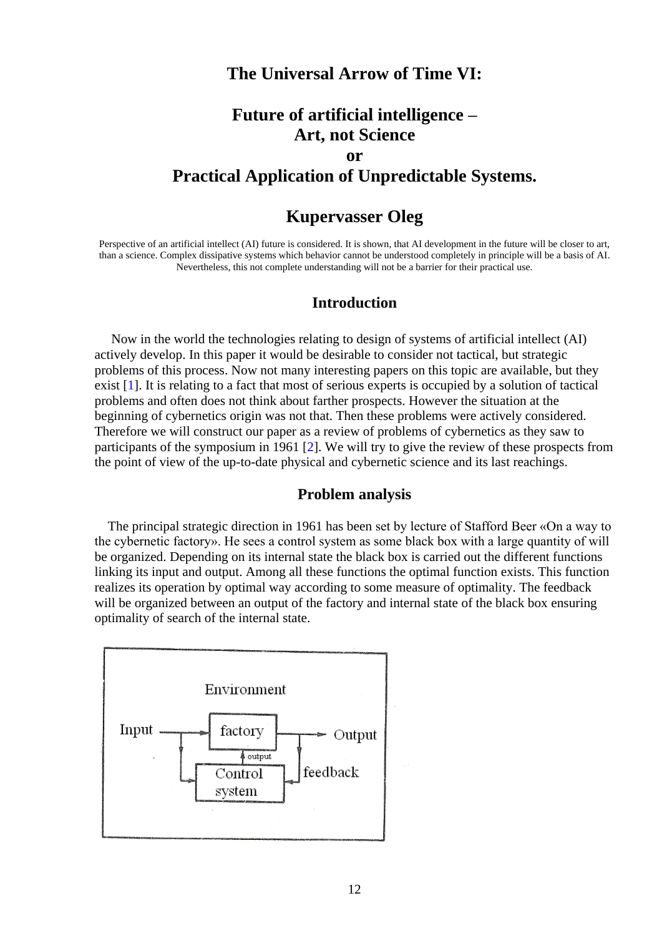#### **The Universal Arrow of Time VI:**

# **Future of artificial intelligence – Art, not Science or Practical Application of Unpredictable Systems.**

### **Kupervasser Oleg**

Perspective of an artificial intellect (AI) future is considered. It is shown, that AI development in the future will be closer to art, than a science. Complex dissipative systems which behavior cannot be understood completely in principle will be a basis of AI. Nevertheless, this not complete understanding will not be a barrier for their practical use.

#### **Introduction**

 Now in the world the technologies relating to design of systems of artificial intellect (AI) actively develop. In this paper it would be desirable to consider not tactical, but strategic problems of this process. Now not many interesting papers on this topic are available, but they exist [1]. It is relating to a fact that most of serious experts is occupied by a solution of tactical problems and often does not think about farther prospects. However the situation at the beginning of cybernetics origin was not that. Then these problems were actively considered. Therefore we will construct our paper as a review of problems of cybernetics as they saw to participants of the symposium in 1961 [2]. We will try to give the review of these prospects from the point of view of the up-to-date physical and cybernetic science and its last reachings.

#### **Problem analysis**

 The principal strategic direction in 1961 has been set by lecture of Stafford Beer «On a way to the cybernetic factory». He sees a control system as some black box with a large quantity of will be organized. Depending on its internal state the black box is carried out the different functions linking its input and output. Among all these functions the optimal function exists. This function realizes its operation by optimal way according to some measure of optimality. The feedback will be organized between an output of the factory and internal state of the black box ensuring optimality of search of the internal state.

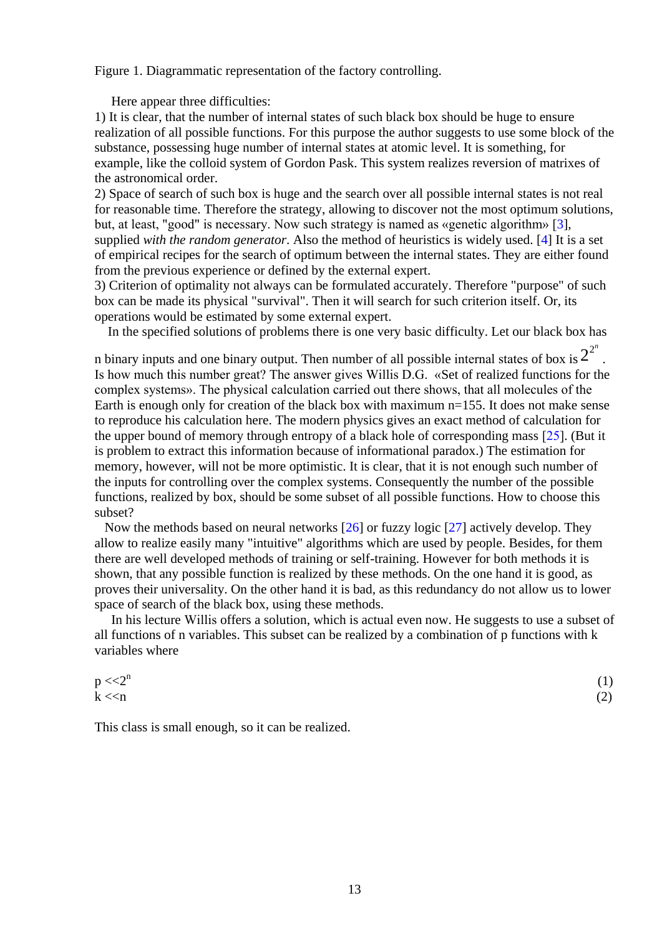Figure 1. Diagrammatic representation of the factory controlling.

Here appear three difficulties:

1) It is clear, that the number of internal states of such black box should be huge to ensure realization of all possible functions. For this purpose the author suggests to use some block of the substance, possessing huge number of internal states at atomic level. It is something, for example, like the colloid system of Gordon Pask. This system realizes reversion of matrixes of the astronomical order.

2) Space of search of such box is huge and the search over all possible internal states is not real for reasonable time. Therefore the strategy, allowing to discover not the most optimum solutions, but, at least, "good" is necessary. Now such strategy is named as «genetic algorithm» [3], supplied *with the random generator*. Also the method of heuristics is widely used. [4] It is a set of empirical recipes for the search of optimum between the internal states. They are either found from the previous experience or defined by the external expert.

3) Criterion of optimality not always can be formulated accurately. Therefore "purpose" of such box can be made its physical "survival". Then it will search for such criterion itself. Or, its operations would be estimated by some external expert.

In the specified solutions of problems there is one very basic difficulty. Let our black box has

n binary inputs and one binary output. Then number of all possible internal states of box is  $2^{2^n}$ . Is how much this number great? The answer gives Willis D.G. «Set of realized functions for the complex systems». The physical calculation carried out there shows, that all molecules of the Earth is enough only for creation of the black box with maximum  $n=155$ . It does not make sense to reproduce his calculation here. The modern physics gives an exact method of calculation for the upper bound of memory through entropy of a black hole of corresponding mass [25]. (But it is problem to extract this information because of informational paradox.) The estimation for memory, however, will not be more optimistic. It is clear, that it is not enough such number of the inputs for controlling over the complex systems. Consequently the number of the possible functions, realized by box, should be some subset of all possible functions. How to choose this subset?

 Now the methods based on neural networks [26] or fuzzy logic [27] actively develop. They allow to realize easily many "intuitive" algorithms which are used by people. Besides, for them there are well developed methods of training or self-training. However for both methods it is shown, that any possible function is realized by these methods. On the one hand it is good, as proves their universality. On the other hand it is bad, as this redundancy do not allow us to lower space of search of the black box, using these methods.

 In his lecture Willis offers a solution, which is actual even now. He suggests to use a subset of all functions of n variables. This subset can be realized by a combination of p functions with k variables where

| $p << 2^n$ | (1) |
|------------|-----|
| k < n      | (2) |

This class is small enough, so it can be realized.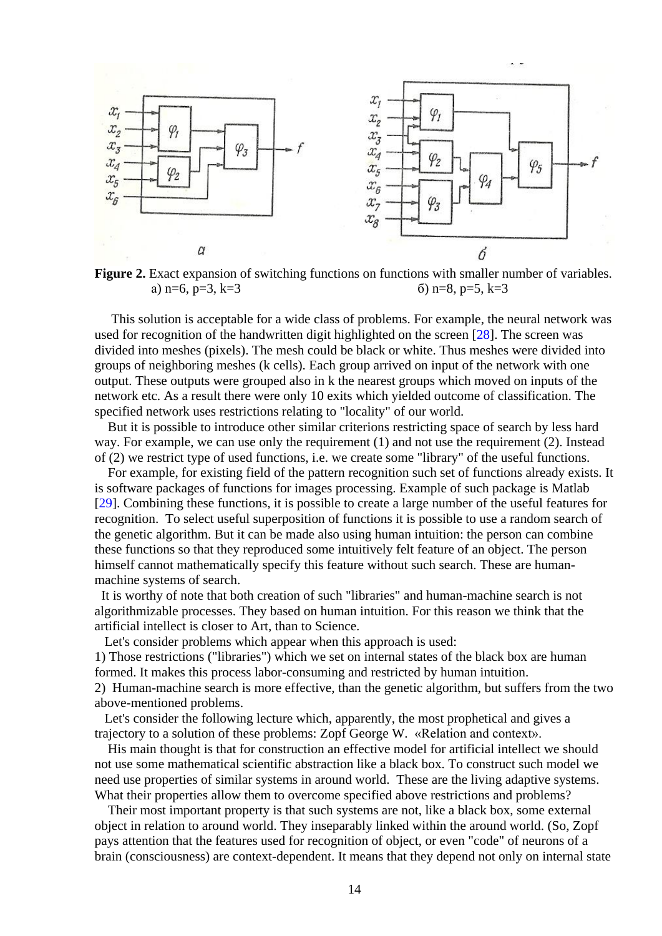

**Figure 2.** Exact expansion of switching functions on functions with smaller number of variables. a)  $n=6$ ,  $p=3$ ,  $k=3$  (b)  $n=8$ ,  $p=5$ ,  $k=3$ 

 This solution is acceptable for a wide class of problems. For example, the neural network was used for recognition of the handwritten digit highlighted on the screen [28]. The screen was divided into meshes (pixels). The mesh could be black or white. Thus meshes were divided into groups of neighboring meshes (k cells). Each group arrived on input of the network with one output. These outputs were grouped also in k the nearest groups which moved on inputs of the network etc. As a result there were only 10 exits which yielded outcome of classification. The specified network uses restrictions relating to "locality" of our world.

 But it is possible to introduce other similar criterions restricting space of search by less hard way. For example, we can use only the requirement (1) and not use the requirement (2). Instead of (2) we restrict type of used functions, i.e. we create some "library" of the useful functions.

 For example, for existing field of the pattern recognition such set of functions already exists. It is software packages of functions for images processing. Example of such package is Matlab [29]. Combining these functions, it is possible to create a large number of the useful features for recognition. To select useful superposition of functions it is possible to use a random search of the genetic algorithm. But it can be made also using human intuition: the person can combine these functions so that they reproduced some intuitively felt feature of an object. The person himself cannot mathematically specify this feature without such search. These are humanmachine systems of search.

 It is worthy of note that both creation of such "libraries" and human-machine search is not algorithmizable processes. They based on human intuition. For this reason we think that the artificial intellect is closer to Art, than to Science.

Let's consider problems which appear when this approach is used:

1) Those restrictions ("libraries") which we set on internal states of the black box are human formed. It makes this process labor-consuming and restricted by human intuition.

2) Human-machine search is more effective, than the genetic algorithm, but suffers from the two above-mentioned problems.

 Let's consider the following lecture which, apparently, the most prophetical and gives a trajectory to a solution of these problems: Zopf George W. «Relation and context».

 His main thought is that for construction an effective model for artificial intellect we should not use some mathematical scientific abstraction like a black box. To construct such model we need use properties of similar systems in around world. These are the living adaptive systems. What their properties allow them to overcome specified above restrictions and problems?

 Their most important property is that such systems are not, like a black box, some external object in relation to around world. They inseparably linked within the around world. (So, Zopf pays attention that the features used for recognition of object, or even "code" of neurons of a brain (consciousness) are context-dependent. It means that they depend not only on internal state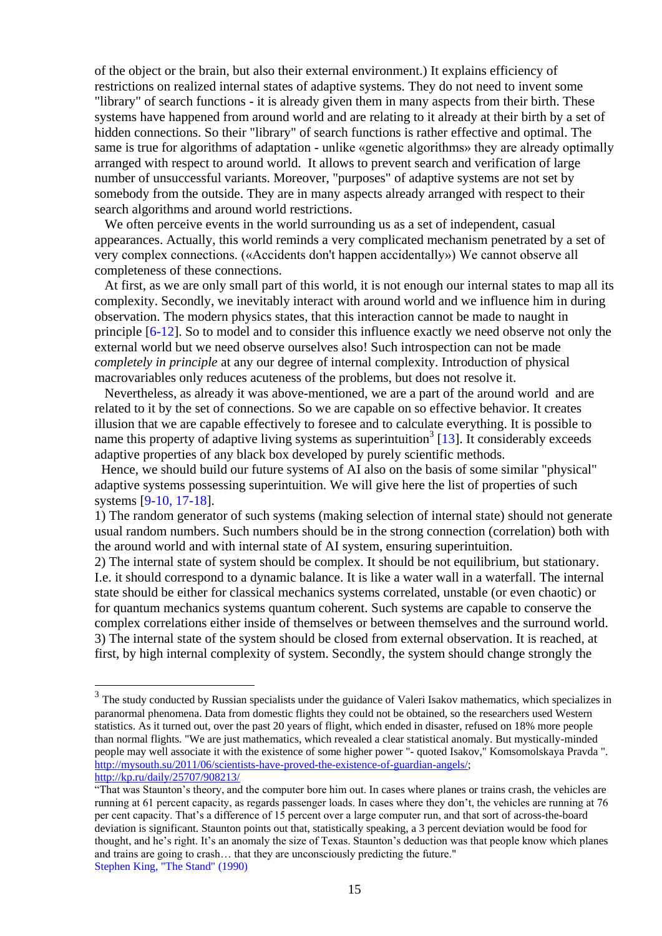of the object or the brain, but also their external environment.) It explains efficiency of restrictions on realized internal states of adaptive systems. They do not need to invent some "library" of search functions - it is already given them in many aspects from their birth. These systems have happened from around world and are relating to it already at their birth by a set of hidden connections. So their "library" of search functions is rather effective and optimal. The same is true for algorithms of adaptation - unlike «genetic algorithms» they are already optimally arranged with respect to around world. It allows to prevent search and verification of large number of unsuccessful variants. Moreover, "purposes" of adaptive systems are not set by somebody from the outside. They are in many aspects already arranged with respect to their search algorithms and around world restrictions.

 We often perceive events in the world surrounding us as a set of independent, casual appearances. Actually, this world reminds a very complicated mechanism penetrated by a set of very complex connections. («Accidents don't happen accidentally») We cannot observe all completeness of these connections.

 At first, as we are only small part of this world, it is not enough our internal states to map all its complexity. Secondly, we inevitably interact with around world and we influence him in during observation. The modern physics states, that this interaction cannot be made to naught in principle [6-12]. So to model and to consider this influence exactly we need observe not only the external world but we need observe ourselves also! Such introspection can not be made *completely in principle* at any our degree of internal complexity. Introduction of physical macrovariables only reduces acuteness of the problems, but does not resolve it.

 Nevertheless, as already it was above-mentioned, we are a part of the around world and are related to it by the set of connections. So we are capable on so effective behavior. It creates illusion that we are capable effectively to foresee and to calculate everything. It is possible to name this property of adaptive living systems as superintuition<sup>3</sup> [13]. It considerably exceeds adaptive properties of any black box developed by purely scientific methods.

 Hence, we should build our future systems of AI also on the basis of some similar "physical" adaptive systems possessing superintuition. We will give here the list of properties of such systems [9-10, 17-18].

1) The random generator of such systems (making selection of internal state) should not generate usual random numbers. Such numbers should be in the strong connection (correlation) both with the around world and with internal state of AI system, ensuring superintuition.

2) The internal state of system should be complex. It should be not equilibrium, but stationary. I.e. it should correspond to a dynamic balance. It is like a water wall in a waterfall. The internal state should be either for classical mechanics systems correlated, unstable (or even chaotic) or for quantum mechanics systems quantum coherent. Such systems are capable to conserve the complex correlations either inside of themselves or between themselves and the surround world. 3) The internal state of the system should be closed from external observation. It is reached, at first, by high internal complexity of system. Secondly, the system should change strongly the

<u>.</u>

 $3$  The study conducted by Russian specialists under the guidance of Valeri Isakov mathematics, which specializes in paranormal phenomena. Data from domestic flights they could not be obtained, so the researchers used Western statistics. As it turned out, over the past 20 years of flight, which ended in disaster, refused on 18% more people than normal flights. "We are just mathematics, which revealed a clear statistical anomaly. But mystically-minded people may well associate it with the existence of some higher power "- quoted Isakov," Komsomolskaya Pravda ". [http://mysouth.su/2011/06/scientists-have-proved-the-existence-of-guardian-angels/;](http://mysouth.su/2011/06/scientists-have-proved-the-existence-of-guardian-angels/) <http://kp.ru/daily/25707/908213/>

<sup>&</sup>quot;That was Staunton's theory, and the computer bore him out. In cases where planes or trains crash, the vehicles are running at 61 percent capacity, as regards passenger loads. In cases where they don't, the vehicles are running at 76 per cent capacity. That's a difference of 15 percent over a large computer run, and that sort of across-the-board deviation is significant. Staunton points out that, statistically speaking, a 3 percent deviation would be food for thought, and he's right. It's an anomaly the size of Texas. Staunton's deduction was that people know which planes and trains are going to crash… that they are unconsciously predicting the future." Stephen King, "The Stand" (1990)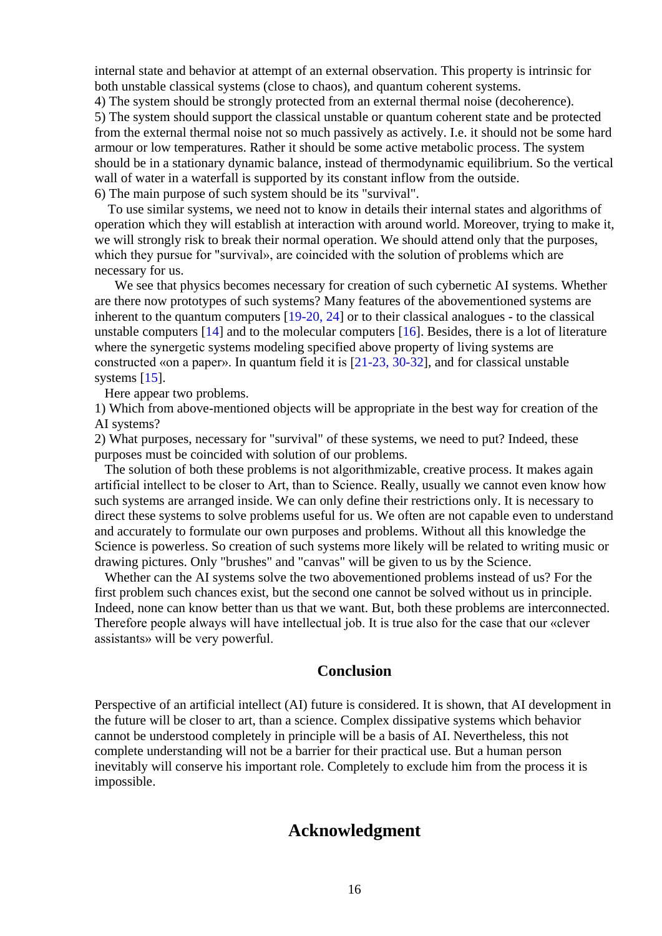internal state and behavior at attempt of an external observation. This property is intrinsic for both unstable classical systems (close to chaos), and quantum coherent systems.

4) The system should be strongly protected from an external thermal noise (decoherence). 5) The system should support the classical unstable or quantum coherent state and be protected from the external thermal noise not so much passively as actively. I.e. it should not be some hard armour or low temperatures. Rather it should be some active metabolic process. The system should be in a stationary dynamic balance, instead of thermodynamic equilibrium. So the vertical wall of water in a waterfall is supported by its constant inflow from the outside. 6) The main purpose of such system should be its "survival".

 To use similar systems, we need not to know in details their internal states and algorithms of operation which they will establish at interaction with around world. Moreover, trying to make it, we will strongly risk to break their normal operation. We should attend only that the purposes, which they pursue for "survival», are coincided with the solution of problems which are necessary for us.

 We see that physics becomes necessary for creation of such cybernetic AI systems. Whether are there now prototypes of such systems? Many features of the abovementioned systems are inherent to the quantum computers [19-20, 24] or to their classical analogues - to the classical unstable computers  $[14]$  and to the molecular computers  $[16]$ . Besides, there is a lot of literature where the synergetic systems modeling specified above property of living systems are constructed «on a paper». In quantum field it is [21-23, 30-32], and for classical unstable systems [15].

Here appear two problems.

1) Which from above-mentioned objects will be appropriate in the best way for creation of the AI systems?

2) What purposes, necessary for "survival" of these systems, we need to put? Indeed, these purposes must be coincided with solution of our problems.

 The solution of both these problems is not algorithmizable, creative process. It makes again artificial intellect to be closer to Art, than to Science. Really, usually we cannot even know how such systems are arranged inside. We can only define their restrictions only. It is necessary to direct these systems to solve problems useful for us. We often are not capable even to understand and accurately to formulate our own purposes and problems. Without all this knowledge the Science is powerless. So creation of such systems more likely will be related to writing music or drawing pictures. Only "brushes" and "canvas" will be given to us by the Science.

 Whether can the AI systems solve the two abovementioned problems instead of us? For the first problem such chances exist, but the second one cannot be solved without us in principle. Indeed, none can know better than us that we want. But, both these problems are interconnected. Therefore people always will have intellectual job. It is true also for the case that our «clever assistants» will be very powerful.

#### **Conclusion**

Perspective of an artificial intellect (AI) future is considered. It is shown, that AI development in the future will be closer to art, than a science. Complex dissipative systems which behavior cannot be understood completely in principle will be a basis of AI. Nevertheless, this not complete understanding will not be a barrier for their practical use. But a human person inevitably will conserve his important role. Completely to exclude him from the process it is impossible.

### **Acknowledgment**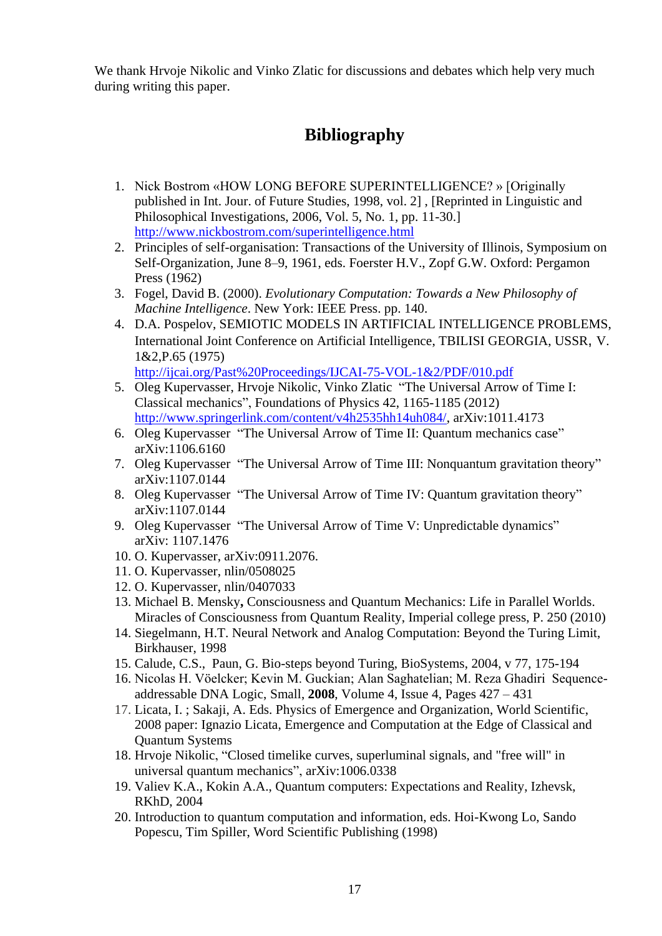We thank Hrvoje Nikolic and Vinko Zlatic for discussions and debates which help very much during writing this paper.

# **Bibliography**

- 1. Nick Bostrom «HOW LONG BEFORE SUPERINTELLIGENCE? » [Originally published in Int. Jour. of Future Studies, 1998, vol. 2] , [Reprinted in Linguistic and Philosophical Investigations, 2006, Vol. 5, No. 1, pp. 11-30.] <http://www.nickbostrom.com/superintelligence.html>
- 2. Principles of self-organisation: Transactions of the University of Illinois, Symposium on Self-Organization, June 8–9, 1961, eds. Foerster H.V., Zopf G.W. Oxford: Pergamon Press (1962)
- 3. Fogel, David B. (2000). *Evolutionary Computation: Towards a New Philosophy of Machine Intelligence*. New York: IEEE Press. pp. 140.
- 4. D.A. Pospelov, SEMIOTIC MODELS IN ARTIFICIAL INTELLIGENCE PROBLEMS, International Joint Conference on Artificial Intelligence, TBILISI GEORGIA, USSR, V. 1&2,P.65 (1975) http://ijcai.org/Past%20Proceedings/IJCAI-75-VOL-1&2/PDF/010.pdf
- 5. Oleg Kupervasser, Hrvoje Nikolic, Vinko Zlatic "The Universal Arrow of Time I: Classical mechanics", Foundations of Physics 42, 1165-1185 (2012) [http://www.springerlink.com/content/v4h2535hh14uh084/,](http://www.springerlink.com/content/v4h2535hh14uh084/) arXiv:1011.4173
- 6. Oleg Kupervasser "The Universal Arrow of Time II: Quantum mechanics case" arXiv:1106.6160
- 7. Oleg Kupervasser "The Universal Arrow of Time III: Nonquantum gravitation theory" arXiv:1107.0144
- 8. Oleg Kupervasser "The Universal Arrow of Time IV: Quantum gravitation theory" arXiv:1107.0144
- 9. Oleg Kupervasser "The Universal Arrow of Time V: Unpredictable dynamics" arXiv: 1107.1476
- 10. O. Kupervasser, arXiv:0911.2076.
- 11. O. Kupervasser, nlin/0508025
- 12. O. Kupervasser, nlin/0407033
- 13. Michael B. Mensky**,** Consciousness and Quantum Mechanics: Life in Parallel Worlds. Miracles of Consciousness from Quantum Reality, Imperial college press, P. 250 (2010)
- 14. Siegelmann, H.T. Neural Network and Analog Computation: Beyond the Turing Limit, Birkhauser, 1998
- 15. Calude, C.S., Paun, G. Bio-steps beyond Turing, BioSystems, 2004, v 77, 175-194
- 16. Nicolas H. Vöelcker; Kevin M. Guckian; Alan Saghatelian; M. Reza Ghadiri Sequenceaddressable DNA Logic, Small, **2008**, Volume 4, Issue 4, Pages 427 – 431
- 17. Licata, I. ; Sakaji, A. Eds. Physics of Emergence and Organization, World Scientific, 2008 paper: Ignazio Licata, Emergence and Computation at the Edge of Classical and Quantum Systems
- 18. Hrvoje Nikolic, "Closed timelike curves, superluminal signals, and "free will" in universal quantum mechanics", arXiv:1006.0338
- 19. Valiev K.A., Kokin A.A., Quantum computers: Expectations and Reality, Izhevsk, RKhD, 2004
- 20. Introduction to quantum computation and information, eds. Hoi-Kwong Lo, Sando Popescu, Tim Spiller, Word Scientific Publishing (1998)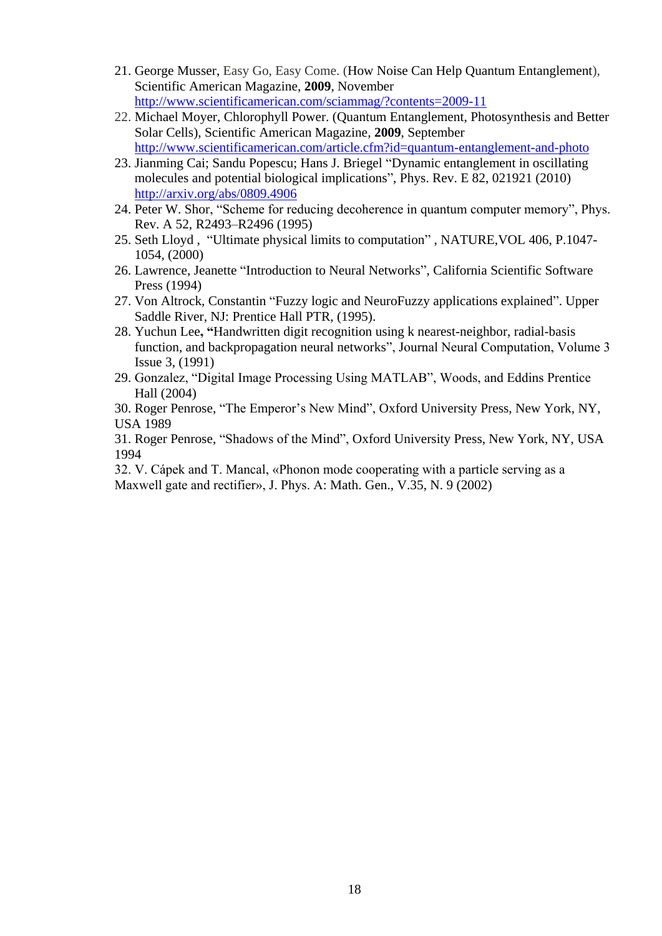- 21. [George Musser,](http://www.scientificamerican.com/author.cfm?id=109) Easy Go, Easy Come. (How Noise Can Help Quantum Entanglement), Scientific American Magazine, **2009**, November <http://www.scientificamerican.com/sciammag/?contents=2009-11>
- 22. [Michael Moyer,](http://www.scientificamerican.com/author.cfm?id=1877) Chlorophyll Power. (Quantum Entanglement, Photosynthesis and Better Solar Cells), Scientific American Magazine*,* **2009**, September <http://www.scientificamerican.com/article.cfm?id=quantum-entanglement-and-photo>
- 23. Jianming Cai; Sandu Popescu; Hans J. Briegel "Dynamic entanglement in oscillating molecules and potential biological implications", Phys. Rev. E 82, 021921 (2010) <http://arxiv.org/abs/0809.4906>
- 24. Peter W. Shor, "Scheme for reducing decoherence in quantum computer memory", Phys. Rev. A 52, R2493–R2496 (1995)
- 25. Seth Lloyd , "Ultimate physical limits to computation" , NATURE,VOL 406, P.1047- 1054, (2000)
- 26. Lawrence, Jeanette "Introduction to Neural Networks", California Scientific Software Press (1994)
- 27. Von Altrock, Constantin "Fuzzy logic and NeuroFuzzy applications explained". Upper Saddle River, NJ: Prentice Hall PTR, (1995).
- 28. Yuchun Lee**, "**Handwritten digit recognition using k nearest-neighbor, radial-basis function, and backpropagation neural networks", Journal Neural Computation, Volume 3 Issue 3, (1991)
- 29. Gonzalez, "Digital Image Processing Using MATLAB", Woods, and Eddins Prentice Hall (2004)

 30. Roger Penrose, "The Emperor's New Mind", Oxford University Press, New York, NY, USA 1989

 31. Roger Penrose, "Shadows of the Mind", Oxford University Press, New York, NY, USA 1994

 32. V. Cápek and T. Mancal, «Phonon mode cooperating with a particle serving as a Maxwell gate and rectifier», J. Phys. A: Math. Gen., V.35, N. 9 (2002)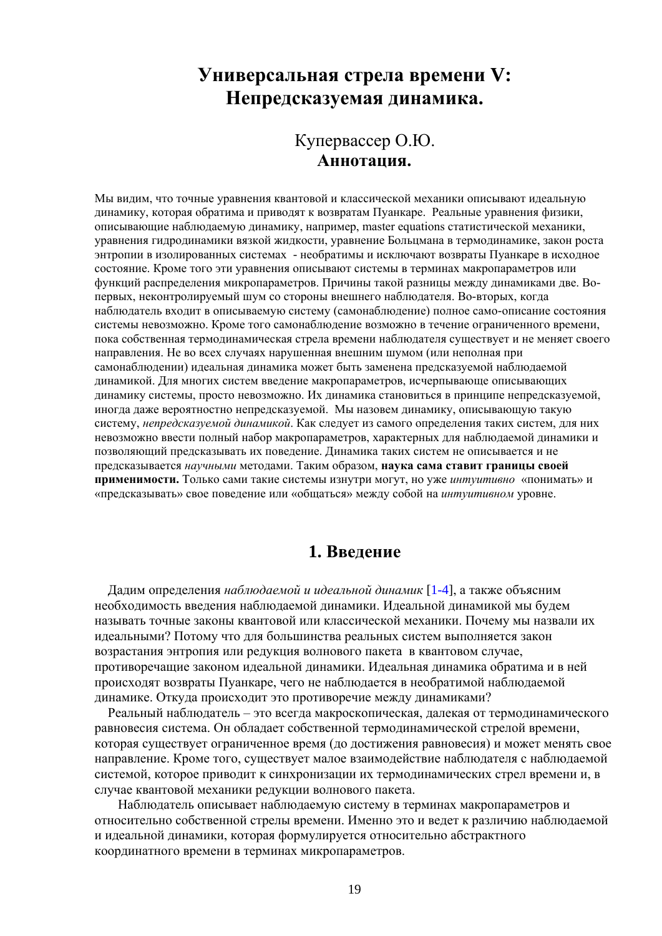# **Универсальная стрела времени V: Непредсказуемая динамика.**

# Купервассер О.Ю. **Аннотация.**

Мы видим, что точные уравнения квантовой и классической механики описывают идеальную динамику, которая обратима и приводят к возвратам Пуанкаре. Реальные уравнения физики, описывающие наблюдаемую динамику, например, master equations статистической механики, уравнения гидродинамики вязкой жидкости, уравнение Больцмана в термодинамике, закон роста энтропии в изолированных системах - необратимы и исключают возвраты Пуанкаре в исходное состояние. Кроме того эти уравнения описывают системы в терминах макропараметров или функций распределения микропараметров. Причины такой разницы между динамиками две. Вопервых, неконтролируемый шум со стороны внешнего наблюдателя. Во-вторых, когда наблюдатель входит в описываемую систему (самонаблюдение) полное само-описание состояния системы невозможно. Кроме того самонаблюдение возможно в течение ограниченного времени, пока собственная термодинамическая стрела времени наблюдателя существует и не меняет своего направления. Не во всех случаях нарушенная внешним шумом (или неполная при самонаблюдении) идеальная динамика может быть заменена предсказуемой наблюдаемой динамикой. Для многих систем введение макропараметров, исчерпывающе описывающих динамику системы, просто невозможно. Их динамика становиться в принципе непредсказуемой, иногда даже вероятностно непредсказуемой. Мы назовем динамику, описывающую такую систему, *непредсказуемой динамикой*. Как следует из самого определения таких систем, для них невозможно ввести полный набор макропараметров, характерных для наблюдаемой динамики и позволяющий предсказывать их поведение. Динамика таких систем не описывается и не предсказывается *научными* методами. Таким образом, **наука сама ставит границы своей применимости.** Только сами такие системы изнутри могут, но уже *интуитивно* «понимать» и «предсказывать» свое поведение или «общаться» между собой на *интуитивном* уровне.

### **1. Введение**

 Дадим определения *наблюдаемой и идеальной динамик* [1-4], а также объясним необходимость введения наблюдаемой динамики. Идеальной динамикой мы будем называть точные законы квантовой или классической механики. Почему мы назвали их идеальными? Потому что для большинства реальных систем выполняется закон возрастания энтропия или редукция волнового пакета в квантовом случае, противоречащие законом идеальной динамики. Идеальная динамика обратима и в ней происходят возвраты Пуанкаре, чего не наблюдается в необратимой наблюдаемой динамике. Откуда происходит это противоречие между динамиками?

 Реальный наблюдатель – это всегда макроскопическая, далекая от термодинамического равновесия система. Он обладает собственной термодинамической стрелой времени, которая существует ограниченное время (до достижения равновесия) и может менять свое направление. Кроме того, существует малое взаимодействие наблюдателя с наблюдаемой системой, которое приводит к синхронизации их термодинамических стрел времени и, в случае квантовой механики редукции волнового пакета.

 Наблюдатель описывает наблюдаемую систему в терминах макропараметров и относительно собственной стрелы времени. Именно это и ведет к различию наблюдаемой и идеальной динамики, которая формулируется относительно абстрактного координатного времени в терминах микропараметров.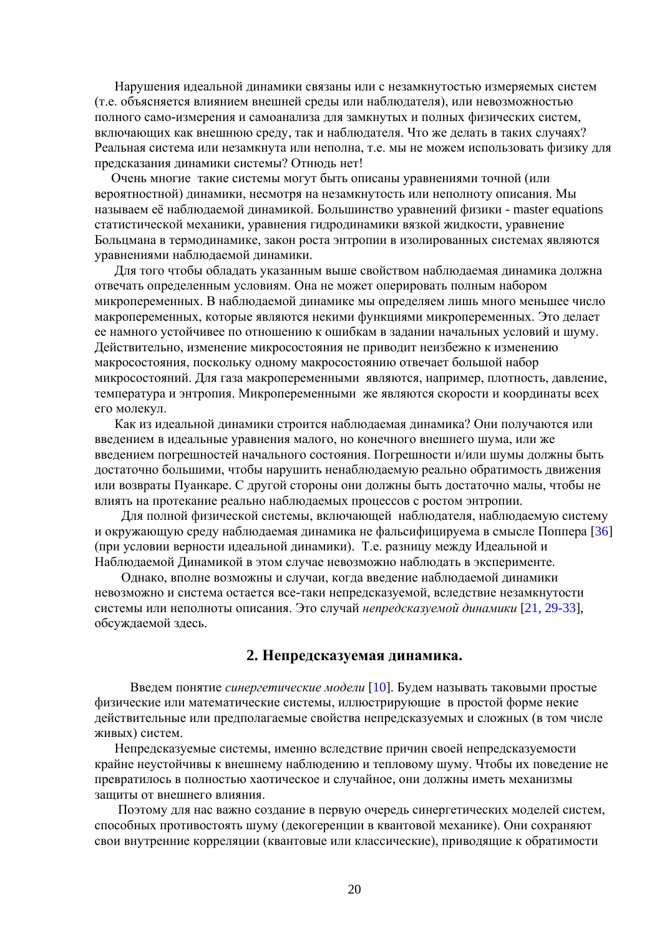Нарушения идеальной динамики связаны или с незамкнутостью измеряемых систем (т.е. объясняется влиянием внешней среды или наблюдателя), или невозможностью полного само-измерения и самоанализа для замкнутых и полных физических систем, включающих как внешнюю среду, так и наблюдателя. Что же делать в таких случаях? Реальная система или незамкнута или неполна, т.е. мы не можем использовать физику для предсказания динамики системы? Отнюдь нет!

 Очень многие такие системы могут быть описаны уравнениями точной (или вероятностной) динамики, несмотря на незамкнутость или неполноту описания. Мы называем её наблюдаемой динамикой. Большинство уравнений физики - master equations статистической механики, уравнения гидродинамики вязкой жидкости, уравнение Больцмана в термодинамике, закон роста энтропии в изолированных системах являются уравнениями наблюдаемой динамики.

 Для того чтобы обладать указанным выше свойством наблюдаемая динамика должна отвечать определенным условиям. Она не может оперировать полным набором микропеременных. В наблюдаемой динамике мы определяем лишь много меньшее число макропеременных, которые являются некими функциями микропеременных. Это делает ее намного устойчивее по отношению к ошибкам в задании начальных условий и шуму. Действительно, изменение микросостояния не приводит неизбежно к изменению макросостояния, поскольку одному макросостоянию отвечает большой набор микросостояний. Для газа макропеременными являются, например, плотность, давление, температура и энтропия. Микропеременными же являются скорости и координаты всех его молекул.

 Как из идеальной динамики строится наблюдаемая динамика? Они получаются или введением в идеальные уравнения малого, но конечного внешнего шума, или же введением погрешностей начального состояния. Погрешности и/или шумы должны быть достаточно большими, чтобы нарушить ненаблюдаемую реально обратимость движения или возвраты Пуанкаре. С другой стороны они должны быть достаточно малы, чтобы не влиять на протекание реально наблюдаемых процессов с ростом энтропии.

Для полной физической системы, включающей наблюдателя, наблюдаемую систему и окружающую среду наблюдаемая динамика не фальсифицируема в смысле Поппера [36] (при условии верности идеальной динамики). Т.е. разницу между Идеальной и Наблюдаемой Динамикой в этом случае невозможно наблюдать в эксперименте.

 Однако, вполне возможны и случаи, когда введение наблюдаемой динамики невозможно и система остается все-таки непредсказуемой, вследствие незамкнутости системы или неполноты описания. Это случай *непредсказуемой динамики* [21, 29-33], обсуждаемой здесь.

#### **2. Непредсказуемая динамика.**

 Введем понятие *синергетические модели* [10]. Будем называть таковыми простые физические или математические системы, иллюстрирующие в простой форме некие действительные или предполагаемые свойства непредсказуемых и сложных (в том числе живых) систем.

 Непредсказуемые системы, именно вследствие причин своей непредсказуемости крайне неустойчивы к внешнему наблюдению и тепловому шуму. Чтобы их поведение не превратилось в полностью хаотическое и случайное, они должны иметь механизмы защиты от внешнего влияния.

 Поэтому для нас важно создание в первую очередь синергетических моделей систем, способных противостоять шуму (декогеренции в квантовой механике). Они сохраняют свои внутренние корреляции (квантовые или классические), приводящие к обратимости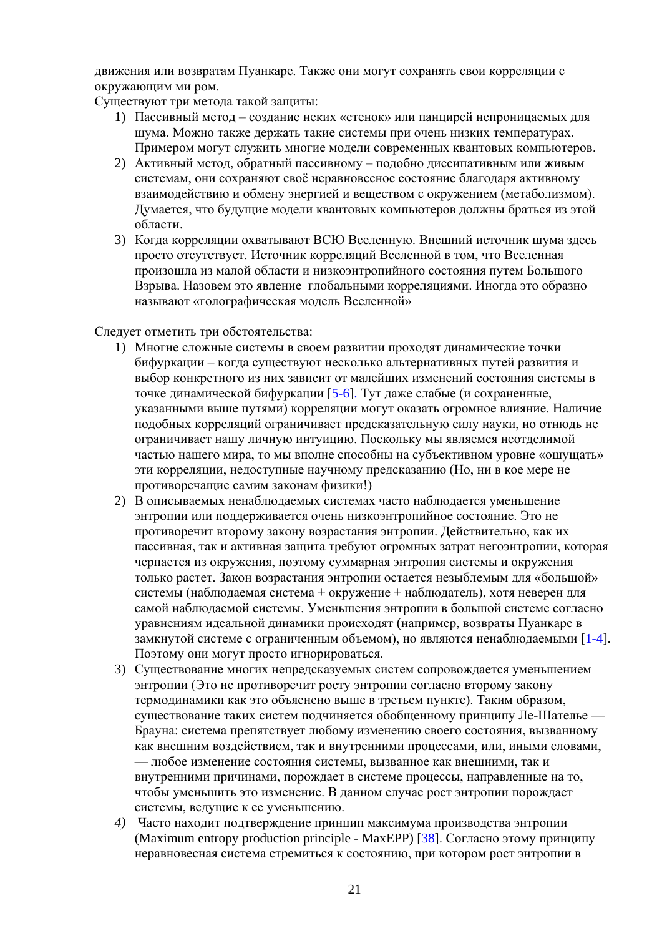лвижения или возвратам Пуанкаре. Также они могут сохранять свои корреляции с окружающим ми ром.

Существуют три метода такой защиты:

- 1) Пассивный метод создание неких «стенок» или панцирей непроницаемых для шума. Можно также держать такие системы при очень низких температурах. Примером могут служить многие модели современных квантовых компьютеров.
- 2) Активный метод, обратный пассивному подобно диссипативным или живым системам, они сохраняют своё неравновесное состояние благодаря активному взаимодействию и обмену энергией и веществом с окружением (метаболизмом). Думается, что будущие модели квантовых компьютеров должны браться из этой области
- 3) Когда корреляции охватывают ВСЮ Вселенную. Внешний источник шума здесь просто отсутствует. Источник корреляций Вселенной в том, что Вселенная произошла из малой области и низкоэнтропийного состояния путем Большого Взрыва. Назовем это явление глобальными корреляциями. Иногда это образно называют «голографическая модель Вселенной»

Следует отметить три обстоятельства:

- 1) Многие сложные системы в своем развитии проходят динамические точки бифуркации - когда существуют несколько альтернативных путей развития и выбор конкретного из них зависит от малейших изменений состояния системы в точке динамической бифуркации [5-6]. Тут даже слабые (и сохраненные, указанными выше путями) корреляции могут оказать огромное влияние. Наличие подобных корреляций ограничивает предсказательную силу науки, но отнюдь не ограничивает нашу личную интуицию. Поскольку мы являемся неотделимой частью нашего мира, то мы вполне способны на субъективном уровне «ощущать» эти корреляции, недоступные научному предсказанию (Но, ни в кое мере не противоречащие самим законам физики!)
- 2) В описываемых ненаблюдаемых системах часто наблюдается уменьшение энтропии или поддерживается очень низкоэнтропийное состояние. Это не противоречит второму закону возрастания энтропии. Действительно, как их пассивная, так и активная защита требуют огромных затрат негоэнтропии, которая черпается из окружения, поэтому суммарная энтропия системы и окружения только растет. Закон возрастания энтропии остается незыблемым для «большой» системы (наблюдаемая система + окружение + наблюдатель), хотя неверен для самой наблюдаемой системы. Уменьшения энтропии в большой системе согласно уравнениям идеальной динамики происходят (например, возвраты Пуанкаре в замкнутой системе с ограниченным объемом), но являются ненаблюдаемыми [1-4]. Поэтому они могут просто игнорироваться.
- 3) Существование многих непредсказуемых систем сопровождается уменьшением энтропии (Это не противоречит росту энтропии согласно второму закону термодинамики как это объяснено выше в третьем пункте). Таким образом, существование таких систем подчиняется обобщенному принципу Ле-Шателье -Брауна: система препятствует любому изменению своего состояния, вызванному как внешним воздействием, так и внутренними процессами, или, иными словами, — любое изменение состояния системы, вызванное как внешними, так и внутренними причинами, порождает в системе процессы, направленные на то, чтобы уменьшить это изменение. В данном случае рост энтропии порождает системы, ведущие к ее уменьшению.
- 4) Часто находит подтверждение принцип максимума производства энтропии (Maximum entropy production principle - MaxEPP) [38]. Согласно этому принципу неравновесная система стремиться к состоянию, при котором рост энтропии в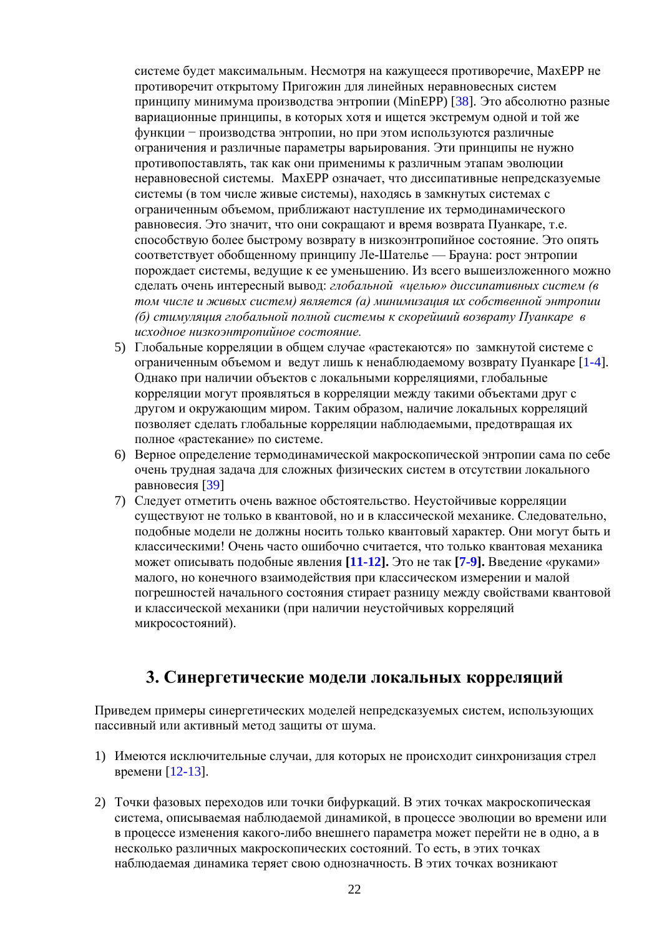системе булет максимальным. Несмотря на кажущееся противоречие. МахЕРР не противоречит открытому Пригожин для линейных неравновесных систем принципу минимума производства энтропии (MinEPP) [38]. Это абсолютно разные вариационные принципы, в которых хотя и ищется экстремум одной и той же функции - производства энтропии, но при этом используются различные ограничения и различные параметры варьирования. Эти принципы не нужно противопоставлять, так как они применимы к различным этапам эволюции неравновесной системы. МахЕРР означает, что диссипативные непредсказуемые системы (в том числе живые системы), находясь в замкнутых системах с ограниченным объемом, приближают наступление их термодинамического равновесия. Это значит, что они сокращают и время возврата Пуанкаре, т.е. способствую более быстрому возврату в низкоэнтропийное состояние. Это опять соответствует обобщенному принципу Ле-Шателье — Брауна: рост энтропии порождает системы, ведущие к ее уменьшению. Из всего вышеизложенного можно сделать очень интересный вывод: глобальной «целью» диссипативных систем (в том числе и живых систем) является (а) минимизация их собственной энтропии (б) стимуляция глобальной полной системы к скорейший возврату Пуанкаре в исходное низкоэнтропийное состояние.

- 5) Глобальные корреляции в общем случае «растекаются» по замкнутой системе с ограниченным объемом и ведут лишь к ненаблюдаемому возврату Пуанкаре [1-4]. Однако при наличии объектов с локальными корреляциями, глобальные корреляции могут проявляться в корреляции между такими объектами друг с лругом и окружающим миром. Таким образом, наличие локальных корреляций позволяет сделать глобальные корреляции наблюдаемыми, предотвращая их полное «растекание» по системе.
- 6) Верное определение термодинамической макроскопической энтропии сама по себе очень трудная задача для сложных физических систем в отсутствии локального равновесия [39]
- 7) Следует отметить очень важное обстоятельство. Неустойчивые корреляции существуют не только в квантовой, но и в классической механике. Следовательно, подобные модели не должны носить только квантовый характер. Они могут быть и классическими! Очень часто ошибочно считается, что только квантовая механика может описывать подобные явления [11-12]. Это не так [7-9]. Введение «руками» малого, но конечного взаимодействия при классическом измерении и малой погрешностей начального состояния стирает разницу между свойствами квантовой и классической механики (при наличии неустойчивых корреляций микросостояний).

### 3. Синергетические молели локальных корреляций

Приведем примеры синергетических моделей непредсказуемых систем, использующих пассивный или активный метод защиты от шума.

- 1) Имеются исключительные случаи, для которых не происходит синхронизация стрел времени [12-13].
- 2) Точки фазовых переходов или точки бифуркаций. В этих точках макроскопическая система, описываемая наблюдаемой динамикой, в процессе эволюции во времени или в процессе изменения какого-либо внешнего параметра может перейти не в одно, а в несколько различных макроскопических состояний. То есть, в этих точках наблюдаемая динамика теряет свою однозначность. В этих точках возникают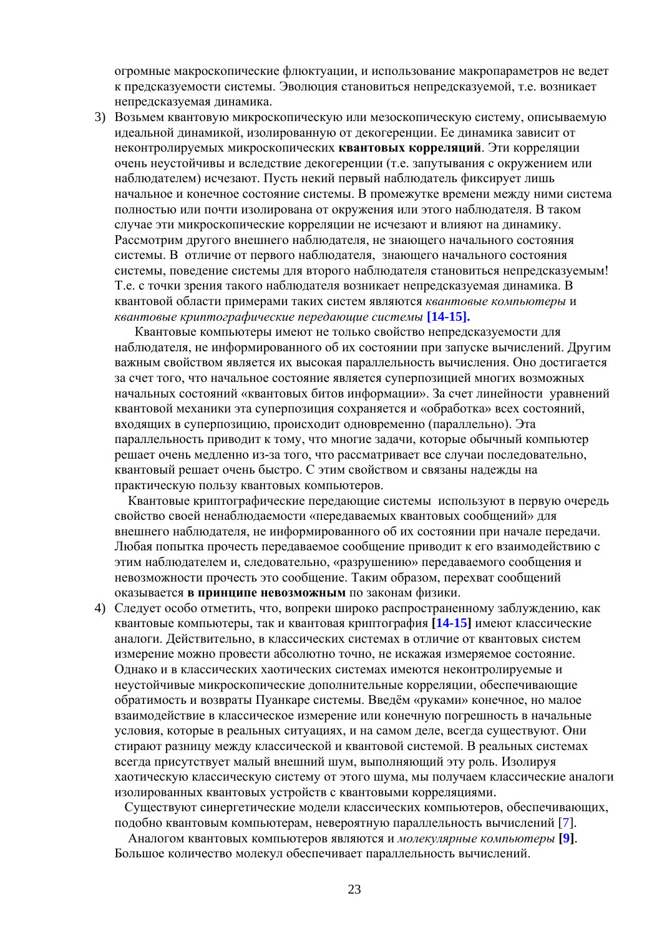огромные макроскопические флюктуации, и использование макропараметров не ведет к предсказуемости системы. Эволюция становиться непредсказуемой, т.е. возникает непредсказуемая динамика.

3) Возьмем квантовую микроскопическую или мезоскопическую систему, описываемую идеальной динамикой, изолированную от декогеренции. Ее динамика зависит от неконтролируемых микроскопических **квантовых корреляций**. Эти корреляции очень неустойчивы и вследствие декогеренции (т.е. запутывания с окружением или наблюдателем) исчезают. Пусть некий первый наблюдатель фиксирует лишь начальное и конечное состояние системы. В промежутке времени между ними система полностью или почти изолирована от окружения или этого наблюдателя. В таком случае эти микроскопические корреляции не исчезают и влияют на динамику. Рассмотрим другого внешнего наблюдателя, не знающего начального состояния системы. В отличие от первого наблюдателя, знающего начального состояния системы, поведение системы для второго наблюдателя становиться непредсказуемым! Т.е. с точки зрения такого наблюдателя возникает непредсказуемая динамика. В квантовой области примерами таких систем являются *квантовые компьютеры* и *квантовые криптографические передающие системы* **[14-15].**

Квантовые компьютеры имеют не только свойство непредсказуемости для наблюдателя, не информированного об их состоянии при запуске вычислений. Другим важным свойством является их высокая параллельность вычисления. Оно достигается за счет того, что начальное состояние является суперпозицией многих возможных начальных состояний «квантовых битов информации». За счет линейности уравнений квантовой механики эта суперпозиция сохраняется и «обработка» всех состояний, входящих в суперпозицию, происходит одновременно (параллельно). Эта параллельность приводит к тому, что многие задачи, которые обычный компьютер решает очень медленно из-за того, что рассматривает все случаи последовательно, квантовый решает очень быстро. С этим свойством и связаны надежды на практическую пользу квантовых компьютеров.

Квантовые криптографические передающие системыиспользуют в первую очередь свойство своей ненаблюдаемости «передаваемых квантовых сообщений» для внешнего наблюдателя, не информированного об их состоянии при начале передачи. Любая попытка прочесть передаваемое сообщение приводит к его взаимодействию с этим наблюдателем и, следовательно, «разрушению» передаваемого сообщения и невозможности прочесть это сообщение. Таким образом, перехват сообщений оказывается **в принципе невозможным** по законам физики.

4) Следует особо отметить, что, вопреки широко распространенному заблуждению, как квантовые компьютеры, так и квантовая криптография **[14-15]** имеют классические аналоги. Действительно, в классических системах в отличие от квантовых систем измерение можно провести абсолютно точно, не искажая измеряемое состояние. Однако и в классических хаотических системах имеются неконтролируемые и неустойчивые микроскопические дополнительные корреляции, обеспечивающие обратимость и возвраты Пуанкаре системы. Введём «руками» конечное, но малое взаимодействие в классическое измерение или конечную погрешность в начальные условия, которые в реальных ситуациях, и на самом деле, всегда существуют. Они стирают разницу между классической и квантовой системой. В реальных системах всегда присутствует малый внешний шум, выполняющий эту роль. Изолируя хаотическую классическую систему от этого шума, мы получаем классические аналоги изолированных квантовых устройств с квантовыми корреляциями.

 Существуют синергетические модели классических компьютеров, обеспечивающих, подобно квантовым компьютерам, невероятную параллельность вычислений [7].

 Аналогом квантовых компьютеров являются и *молекулярные компьютеры* **[9]**. Большое количество молекул обеспечивает параллельность вычислений.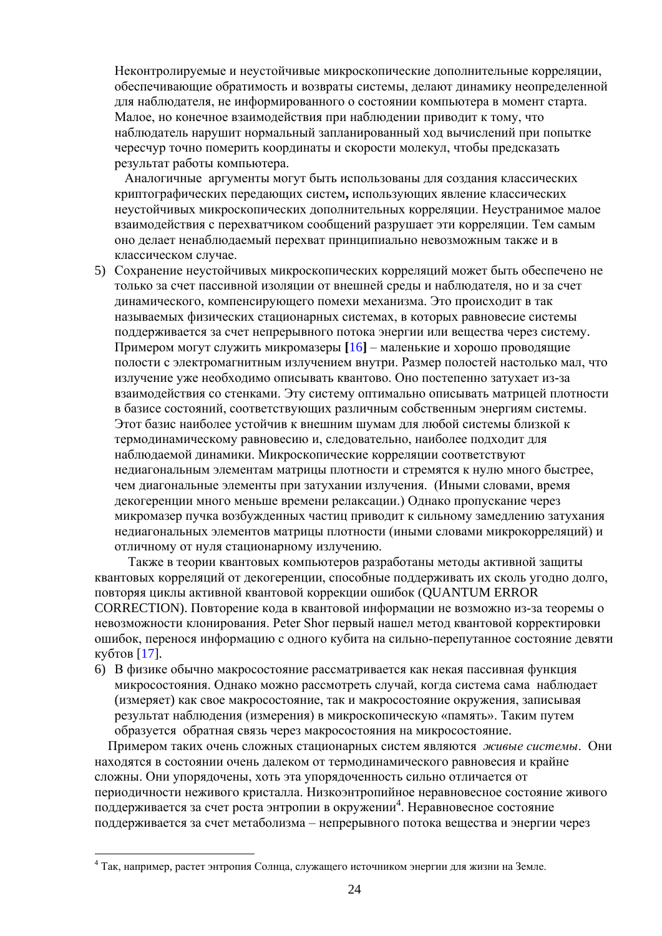Неконтролируемые и неустойчивые микроскопические дополнительные корреляции. обеспечивающие обратимость и возвраты системы, делают динамику неопределенной для наблюдателя, не информированного о состоянии компьютера в момент старта. Малое, но конечное взаимодействия при наблюдении приводит к тому, что наблюдатель нарушит нормальный запланированный ход вычислений при попытке чересчур точно померить координаты и скорости молекул, чтобы предсказать результат работы компьютера.

Аналогичные аргументы могут быть использованы для создания классических криптографических передающих систем, использующих явление классических неустойчивых микроскопических дополнительных корреляции. Неустранимое малое взаимодействия с перехватчиком сообщений разрушает эти корреляции. Тем самым оно делает ненаблюдаемый перехват принципиально невозможным также и в классическом случае.

5) Сохранение неустойчивых микроскопических корреляций может быть обеспечено не только за счет пассивной изоляции от внешней среды и наблюдателя, но и за счет динамического, компенсирующего помехи механизма. Это происходит в так называемых физических стационарных системах, в которых равновесие системы поддерживается за счет непрерывного потока энергии или вещества через систему. Примером могут служить микромазеры [16] – маленькие и хорошо проводящие полости с электромагнитным излучением внутри. Размер полостей настолько мал, что излучение уже необходимо описывать квантово. Оно постепенно затухает из-за взаимодействия со стенками. Эту систему оптимально описывать матрицей плотности в базисе состояний, соответствующих различным собственным энергиям системы. Этот базис наиболее устойчив к внешним шумам для любой системы близкой к термодинамическому равновесию и, следовательно, наиболее подходит для наблюдаемой динамики. Микроскопические корреляции соответствуют недиагональным элементам матрицы плотности и стремятся к нулю много быстрее, чем диагональные элементы при затухании излучения. (Иными словами, время декогеренции много меньше времени релаксации.) Однако пропускание через микромазер пучка возбужденных частиц приводит к сильному замедлению затухания недиагональных элементов матрицы плотности (иными словами микрокорреляций) и отличному от нуля стационарному излучению.

Также в теории квантовых компьютеров разработаны методы активной защиты квантовых корреляций от декогеренции, способные поддерживать их сколь угодно долго, повторяя циклы активной квантовой коррекции ошибок (QUANTUM ERROR CORRECTION). Повторение кода в квантовой информации не возможно из-за теоремы о невозможности клонирования. Peter Shor первый нашел метод квантовой корректировки ошибок, перенося информацию с одного кубита на сильно-перепутанное состояние девяти кубтов  $[17]$ .

6) В физике обычно макросостояние рассматривается как некая пассивная функция микросостояния. Однако можно рассмотреть случай, когда система сама наблюдает (измеряет) как свое макросостояние, так и макросостояние окружения, записывая результат наблюдения (измерения) в микроскопическую «память». Таким путем образуется обратная связь через макросостояния на микросостояние.

Примером таких очень сложных стационарных систем являются живые системы. Они находятся в состоянии очень далеком от термодинамического равновесия и крайне сложны. Они упорядочены, хоть эта упорядоченность сильно отличается от периодичности неживого кристалла. Низкоэнтропийное неравновесное состояние живого поддерживается за счет роста энтропии в окружении<sup>4</sup>. Неравновесное состояние поддерживается за счет метаболизма - непрерывного потока вещества и энергии через

<sup>4</sup> Так, например, растет энтропия Солнца, служащего источником энергии для жизни на Земле.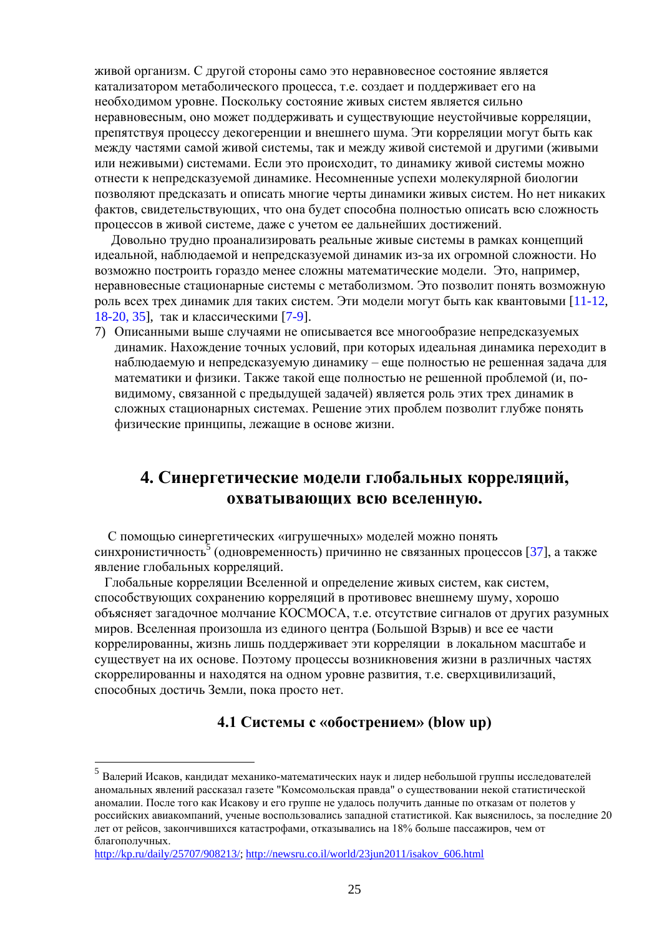живой организм. С другой стороны само это неравновесное состояние является катализатором метаболического процесса, т.е. создает и поддерживает его на необходимом уровне. Поскольку состояние живых систем является сильно неравновесным, оно может поддерживать и существующие неустойчивые корреляции, препятствуя процессу декогеренции и внешнего шума. Эти корреляции могут быть как между частями самой живой системы, так и между живой системой и другими (живыми или неживыми) системами. Если это происходит, то динамику живой системы можно отнести к непредсказуемой динамике. Несомненные успехи молекулярной биологии позволяют предсказать и описать многие черты динамики живых систем. Но нет никаких фактов, свидетельствующих, что она будет способна полностью описать всю сложность процессов в живой системе, даже с учетом ее дальнейших достижений.

Довольно трудно проанализировать реальные живые системы в рамках концепций идеальной, наблюдаемой и непредсказуемой динамик из-за их огромной сложности. Но возможно построить гораздо менее сложны математические модели. Это, например, неравновесные стационарные системы с метаболизмом. Это позволит понять возможную роль всех трех динамик для таких систем. Эти модели могут быть как квантовыми [11-12, 18-20, 35], так и классическими [7-9].

7) Описанными выше случаями не описывается все многообразие непредсказуемых динамик. Нахождение точных условий, при которых идеальная динамика переходит в наблюдаемую и непредсказуемую динамику - еще полностью не решенная задача для математики и физики. Также такой еще полностью не решенной проблемой (и, повидимому, связанной с предыдущей задачей) является роль этих трех динамик в сложных стационарных системах. Решение этих проблем позволит глубже понять физические принципы, лежащие в основе жизни.

# 4. Синергетические модели глобальных корреляций, охватывающих всю вселенную.

С помощью синергетических «игрушечных» моделей можно понять синхронистичность<sup>5</sup> (одновременность) причинно не связанных процессов [37], а также явление глобальных корреляций.

Глобальные корреляции Вселенной и определение живых систем, как систем, способствующих сохранению корреляций в противовес внешнему шуму, хорошо объясняет загадочное молчание КОСМОСА, т.е. отсутствие сигналов от других разумных миров. Вселенная произошла из единого центра (Большой Взрыв) и все ее части коррелированны, жизнь лишь поддерживает эти корреляции в локальном масштабе и существует на их основе. Поэтому процессы возникновения жизни в различных частях скоррелированны и находятся на одном уровне развития, т.е. сверхцивилизаций, способных достичь Земли, пока просто нет.

#### 4.1 Системы с «обострением» (blow up)

 $^5$  Валерий Исаков, кандидат механико-математических наук и лидер небольшой группы исследователей аномальных явлений рассказал газете "Комсомольская правла" о существовании некой статистической аномалии. После того как Исакову и его группе не удалось получить данные по отказам от полетов у российских авиакомпаний, ученые воспользовались западной статистикой. Как выяснилось, за последние 20 лет от рейсов, закончившихся катастрофами, отказывались на 18% больше пассажиров, чем от благополучных.

http://kp.ru/daily/25707/908213/; http://newsru.co.il/world/23jun2011/isakov 606.html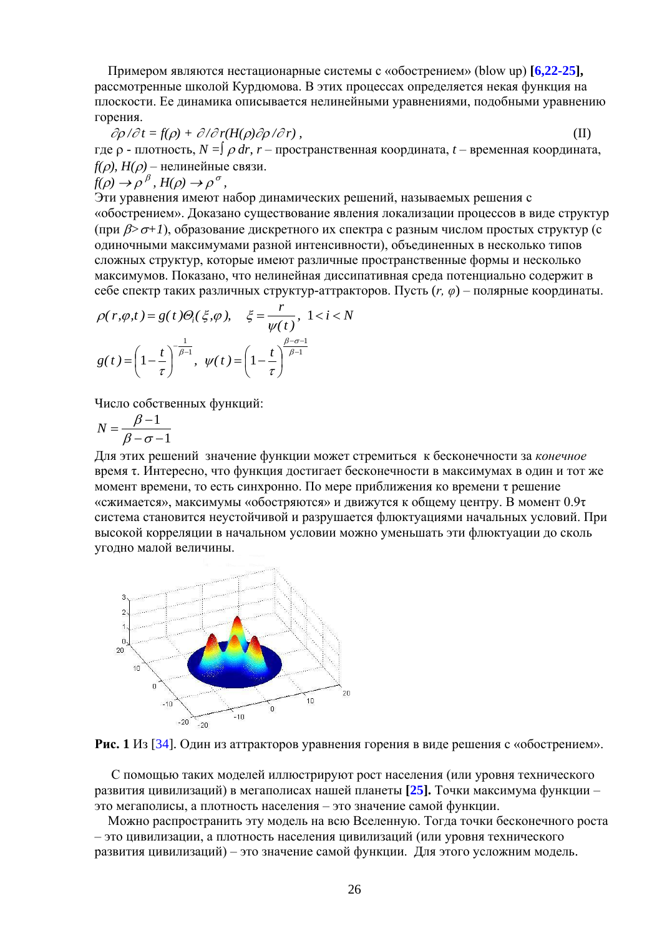Примером являются нестационарные системы с «обострением» (blow up)  $[6.22-25]$ , рассмотренные школой Курдюмова. В этих процессах определяется некая функция на плоскости. Ее динамика описывается нелинейными уравнениями, подобными уравнению горения.

 $\partial \rho / \partial t = f(\rho) + \partial / \partial r (H(\rho) \partial \rho / \partial r)$ ,  $(II)$ где  $\rho$  - плотность,  $N = \int \rho dr$ ,  $r -$ пространственная координата,  $t -$ временная координата,  $f(\rho)$ ,  $H(\rho)$  – нелинейные связи.

$$
f(\rho) \to \rho^{\beta}
$$
,  $H(\rho) \to \rho^{\sigma}$ ,

Эти уравнения имеют набор динамических решений, называемых решения с «обострением». Доказано существование явления локализации процессов в виде структур (при  $\beta$ > $\sigma$ +1), образование дискретного их спектра с разным числом простых структур (с одиночными максимумами разной интенсивности), объединенных в несколько типов сложных структур, которые имеют различные пространственные формы и несколько максимумов. Показано, что нелинейная диссипативная среда потенциально содержит в себе спектр таких различных структур-аттракторов. Пусть  $(r, \varphi)$  – полярные координаты.

$$
\rho(r,\varphi,t) = g(t)\Theta_i(\xi,\varphi), \quad \xi = \frac{r}{\psi(t)}, \ 1 < i < N
$$
\n
$$
g(t) = \left(1 - \frac{t}{\tau}\right)^{-\frac{1}{\beta - 1}}, \ \psi(t) = \left(1 - \frac{t}{\tau}\right)^{\frac{\beta - \sigma - 1}{\beta - 1}}
$$

Число собственных функций:

$$
N = \frac{\beta - 1}{\beta - \sigma - 1}
$$

Для этих решений значение функции может стремиться к бесконечности за конечное время т. Интересно, что функция достигает бесконечности в максимумах в один и тот же момент времени, то есть синхронно. По мере приближения ко времени т решение «сжимается», максимумы «обостряются» и движутся к общему центру. В момент 0.9т система становится неустойчивой и разрушается флюктуациями начальных условий. При высокой корреляции в начальном условии можно уменьшать эти флюктуации до сколь угодно малой величины.





С помощью таких моделей иллюстрируют рост населения (или уровня технического развития цивилизаций) в мегаполисах нашей планеты [25]. Точки максимума функции это мегаполисы, а плотность населения - это значение самой функции.

Можно распространить эту модель на всю Вселенную. Тогда точки бесконечного роста - это цивилизации, а плотность населения цивилизаций (или уровня технического развития цивилизаций) – это значение самой функции. Для этого усложним модель.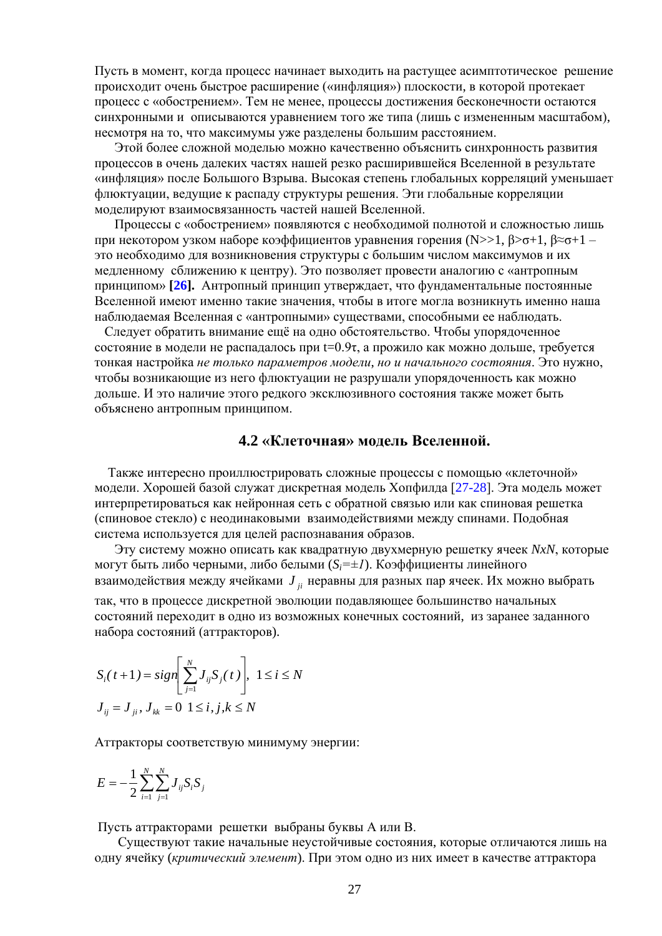Пусть в момент, когда процесс начинает выходить на растушее асимптотическое решение происходит очень быстрое расширение («инфляция») плоскости, в которой протекает процесс с «обострением». Тем не менее, процессы достижения бесконечности остаются синхронными и описываются уравнением того же типа (лишь с измененным масштабом), несмотря на то, что максимумы уже разделены большим расстоянием.

Этой более сложной моделью можно качественно объяснить синхронность развития процессов в очень далеких частях нашей резко расширившейся Вселенной в результате «инфляция» после Большого Взрыва. Высокая степень глобальных корреляций уменьшает флюктуации, ведущие к распаду структуры решения. Эти глобальные корреляции моделируют взаимосвязанность частей нашей Вселенной.

Процессы с «обострением» появляются с необходимой полнотой и сложностью лишь при некотором узком наборе коэффициентов уравнения горения (N>>1,  $\beta$ > $\sigma$ +1,  $\beta \approx \sigma + 1$  – это необходимо для возникновения структуры с большим числом максимумов и их медленному сближению к центру). Это позволяет провести аналогию с «антропным принципом» [26]. Антропный принцип утверждает, что фундаментальные постоянные Вселенной имеют именно такие значения, чтобы в итоге могла возникнуть именно наша наблюдаемая Вселенная с «антропными» существами, способными ее наблюдать.

Следует обратить внимание ещё на одно обстоятельство. Чтобы упорядоченное состояние в модели не распадалось при t=0.9т, а прожило как можно дольше, требуется тонкая настройка не только параметров модели, но и начального состояния. Это нужно, чтобы возникающие из него флюктуации не разрушали упорядоченность как можно дольше. И это наличие этого редкого эксклюзивного состояния также может быть объяснено антропным принципом.

#### 4.2 «Клеточная» модель Вселенной.

Также интересно проиллюстрировать сложные процессы с помощью «клеточной» модели. Хорошей базой служат дискретная модель Хопфилда [27-28]. Эта модель может интерпретироваться как нейронная сеть с обратной связью или как спиновая решетка (спиновое стекло) с неодинаковыми взаимодействиями между спинами. Подобная система используется для целей распознавания образов.

Эту систему можно описать как квадратную двухмерную решетку ячеек NxN, которые могут быть либо черными, либо белыми  $(S_i = \pm I)$ . Коэффициенты линейного взаимодействия между ячейками  $J_{ii}$  неравны для разных пар ячеек. Их можно выбрать так, что в процессе дискретной эволюции подавляющее большинство начальных состояний переходит в одно из возможных конечных состояний, из заранее заданного набора состояний (аттракторов).

$$
S_i(t+1) = sign \left[ \sum_{j=1}^{N} J_{ij} S_j(t) \right], \ 1 \le i \le N
$$
  

$$
J_{ij} = J_{ji}, J_{kk} = 0 \ 1 \le i, j, k \le N
$$

Аттракторы соответствую минимуму энергии:

$$
E = -\frac{1}{2} \sum_{i=1}^{N} \sum_{j=1}^{N} J_{ij} S_i S_j
$$

Пусть аттракторами решетки выбраны буквы А или В.

Существуют такие начальные неустойчивые состояния, которые отличаются лишь на одну ячейку (критический элемент). При этом одно из них имеет в качестве аттрактора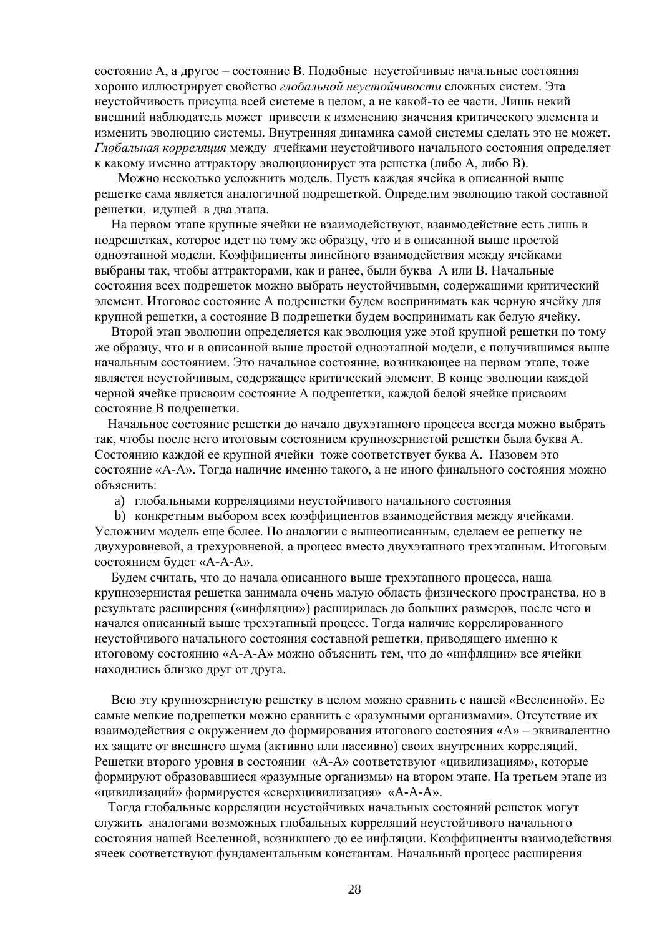состояние А, а другое – состояние В. Подобные неустойчивые начальные состояния хорошо иллюстрирует свойство глобальной неустойчивости сложных систем. Эта неустойчивость присуща всей системе в целом, а не какой-то ее части. Лишь некий внешний наблюдатель может привести к изменению значения критического элемента и изменить эволюцию системы. Внутренняя динамика самой системы сделать это не может. Глобальная корреляция между ячейками неустойчивого начального состояния определяет к какому именно аттрактору эволюционирует эта решетка (либо А, либо В).

Можно несколько усложнить модель. Пусть каждая ячейка в описанной выше решетке сама является аналогичной подрешеткой. Определим эволюцию такой составной решетки, идущей в два этапа.

На первом этапе крупные ячейки не взаимодействуют, взаимодействие есть лишь в подрешетках, которое идет по тому же образцу, что и в описанной выше простой одноэтапной модели. Коэффициенты линейного взаимодействия между ячейками выбраны так, чтобы аттракторами, как и ранее, были буква А или В. Начальные состояния всех подрешеток можно выбрать неустойчивыми, содержащими критический элемент. Итоговое состояние А подрешетки будем воспринимать как черную ячейку для крупной решетки, а состояние В подрешетки будем воспринимать как белую ячейку.

Второй этап эволюции определяется как эволюция уже этой крупной решетки по тому же образцу, что и в описанной выше простой одноэтапной модели, с получившимся выше начальным состоянием. Это начальное состояние, возникающее на первом этапе, тоже является неустойчивым, содержащее критический элемент. В конце эволюции каждой черной ячейке присвоим состояние А подрешетки, каждой белой ячейке присвоим состояние В подрешетки.

Начальное состояние решетки до начало двухэтапного процесса всегда можно выбрать так, чтобы после него итоговым состоянием крупнозернистой решетки была буква А. Состоянию каждой ее крупной ячейки тоже соответствует буква А. Назовем это состояние «А-А». Тогда наличие именно такого, а не иного финального состояния можно объяснить:

а) глобальными корреляциями неустойчивого начального состояния

b) конкретным выбором всех коэффициентов взаимодействия между ячейками. Усложним модель еще более. По аналогии с вышеописанным, сделаем ее решетку не двухуровневой, а трехуровневой, а процесс вместо двухэтапного трехэтапным. Итоговым состоянием будет «А-А-А».

Будем считать, что до начала описанного выше трехэтапного процесса, наша крупнозернистая решетка занимала очень малую область физического пространства, но в результате расширения («инфляции») расширилась до больших размеров, после чего и начался описанный выше трехэтапный процесс. Тогда наличие коррелированного неустойчивого начального состояния составной решетки, приводящего именно к итоговому состоянию «А-А-А» можно объяснить тем, что до «инфляции» все ячейки находились близко друг от друга.

Всю эту крупнозернистую решетку в целом можно сравнить с нашей «Вселенной». Ее самые мелкие подрешетки можно сравнить с «разумными организмами». Отсутствие их взаимодействия с окружением до формирования итогового состояния «А» - эквивалентно их защите от внешнего шума (активно или пассивно) своих внутренних корреляций. Решетки второго уровня в состоянии «А-А» соответствуют «цивилизациям», которые формируют образовавшиеся «разумные организмы» на втором этапе. На третьем этапе из «цивилизаций» формируется «сверхцивилизация» «А-А-А».

Тогда глобальные корреляции неустойчивых начальных состояний решеток могут служить аналогами возможных глобальных корреляций неустойчивого начального состояния нашей Вселенной, возникшего до ее инфляции. Коэффициенты взаимодействия ячеек соответствуют фундаментальным константам. Начальный процесс расширения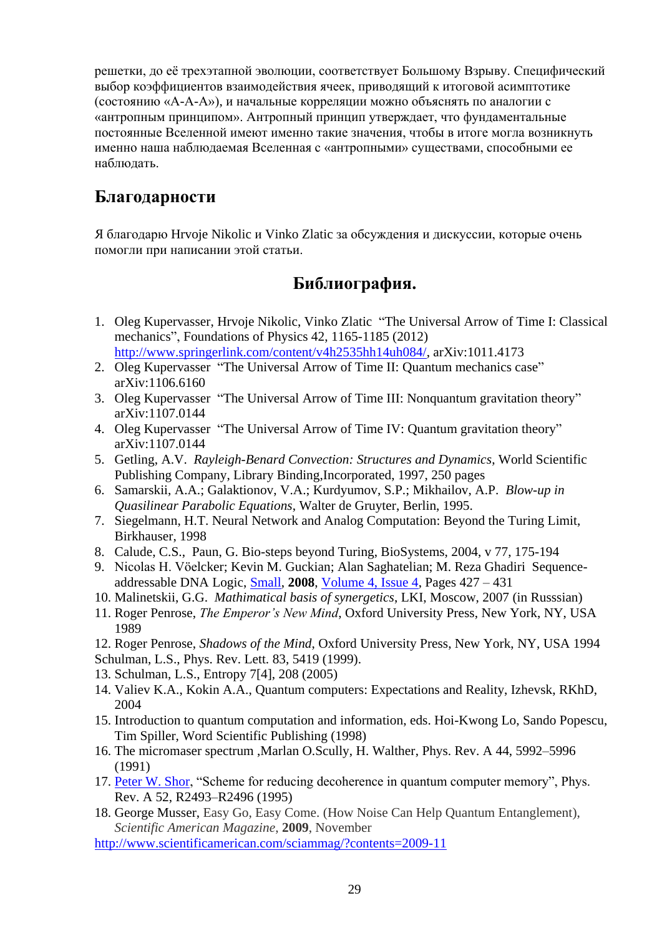решетки, до её трехэтапной эволюции, соответствует Большому Взрыву. Специфический выбор коэффициентов взаимодействия ячеек, приводящий к итоговой асимптотике (состоянию «А-А-А»), и начальные корреляции можно объяснять по аналогии с «антропным принципом». Антропный принцип утверждает, что фундаментальные постоянные Вселенной имеют именно такие значения, чтобы в итоге могла возникнуть именно наша наблюдаемая Вселенная с «антропными» существами, способными ее наблюдать.

## **Благодарности**

Я благодарю Hrvoje Nikolic и Vinko Zlatic за обсуждения и дискуссии, которые очень помогли при написании этой статьи.

# **Библиография.**

- 1. Oleg Kupervasser, Hrvoje Nikolic, Vinko Zlatic "The Universal Arrow of Time I: Classical mechanics", Foundations of Physics 42, 1165-1185 (2012) [http://www.springerlink.com/content/v4h2535hh14uh084/,](http://www.springerlink.com/content/v4h2535hh14uh084/) arXiv:1011.4173
- 2. Oleg Kupervasser "The Universal Arrow of Time II: Quantum mechanics case" arXiv:1106.6160
- 3. Oleg Kupervasser "The Universal Arrow of Time III: Nonquantum gravitation theory" arXiv:1107.0144
- 4. Oleg Kupervasser "The Universal Arrow of Time IV: Quantum gravitation theory" arXiv:1107.0144
- 5. Getling, A.V. *Rayleigh-Benard Convection: Structures and Dynamics*, World Scientific Publishing Company, Library Binding,Incorporated, 1997, 250 pages
- 6. Samarskii, A.A.; Galaktionov, V.A.; Kurdyumov, S.P.; Mikhailov, A.P. *Blow-up in Quasilinear Parabolic Equations*, Walter de Gruyter, Berlin, 1995.
- 7. Siegelmann, H.T. Neural Network and Analog Computation: Beyond the Turing Limit, Birkhauser, 1998
- 8. Calude, C.S., Paun, G. Bio-steps beyond Turing, BioSystems, 2004, v 77, 175-194
- 9. Nicolas H. Vöelcker; Kevin M. Guckian; Alan Saghatelian; M. Reza Ghadiri Sequenceaddressable DNA Logic, [Small,](http://www3.interscience.wiley.com/journal/107640323/home) **2008**, [Volume 4, Issue 4,](http://www3.interscience.wiley.com/journal/118858653/issue) Pages 427 – 431
- 10. Malinetskii, G.G. *Mathimatical basis of synergetics*, LKI, Moscow, 2007 (in Russsian)
- 11. Roger Penrose, *The Emperor's New Mind*, Oxford University Press, New York, NY, USA 1989
- 12. Roger Penrose, *Shadows of the Mind*, Oxford University Press, New York, NY, USA 1994
- Schulman, L.S., Phys. Rev. Lett. 83, 5419 (1999).
- 13. Schulman, L.S., Entropy 7[4], 208 (2005)
- 14. Valiev K.A., Kokin A.A., Quantum computers: Expectations and Reality, Izhevsk, RKhD, 2004
- 15. Introduction to quantum computation and information, eds. Hoi-Kwong Lo, Sando Popescu, Tim Spiller, Word Scientific Publishing (1998)
- 16. The micromaser spectrum ,Marlan O.Scully, H. Walther, Phys. Rev. A 44, 5992–5996 (1991)
- 17. [Peter W. Shor,](http://publish.aps.org/search/field/author/Shor_Peter_W) "Scheme for reducing decoherence in quantum computer memory", Phys. Rev. A 52, R2493–R2496 (1995)
- 18. [George Musser,](http://www.scientificamerican.com/author.cfm?id=109) Easy Go, Easy Come. (How Noise Can Help Quantum Entanglement), *Scientific American Magazine*, **2009**, November

<http://www.scientificamerican.com/sciammag/?contents=2009-11>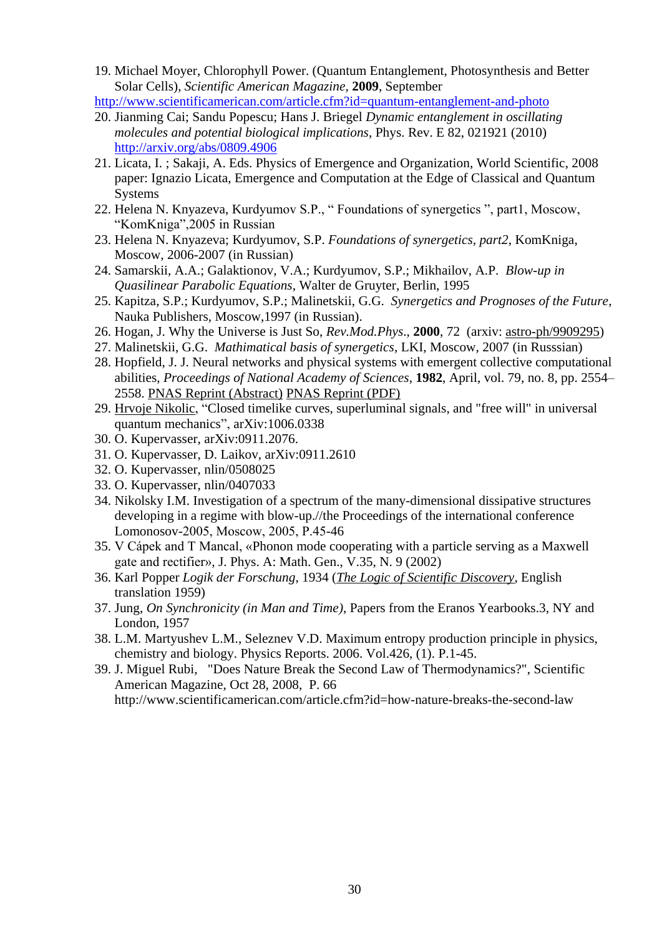19. [Michael Moyer,](http://www.scientificamerican.com/author.cfm?id=1877) Chlorophyll Power. (Quantum Entanglement, Photosynthesis and Better Solar Cells), *Scientific American Magazine,* **2009**, September

<http://www.scientificamerican.com/article.cfm?id=quantum-entanglement-and-photo>

- 20. Jianming Cai; Sandu Popescu; Hans J. Briegel *Dynamic entanglement in oscillating molecules and potential biological implications*, Phys. Rev. E 82, 021921 (2010) <http://arxiv.org/abs/0809.4906>
- 21. Licata, I. ; Sakaji, A. Eds. Physics of Emergence and Organization, World Scientific, 2008 paper: Ignazio Licata, Emergence and Computation at the Edge of Classical and Quantum **Systems**
- 22. Helena N. Knyazeva, Kurdyumov S.P., " Foundations of synergetics ", part1, Moscow, "KomKniga",2005 in Russian
- 23. Helena N. Knyazeva; Kurdyumov, S.P. *Foundations of synergetics, part2*, KomKniga, Moscow, 2006-2007 (in Russian)
- 24. Samarskii, A.A.; Galaktionov, V.A.; Kurdyumov, S.P.; Mikhailov, A.P. *Blow-up in Quasilinear Parabolic Equations*, Walter de Gruyter, Berlin, 1995
- 25. Kapitza, S.P.; Kurdyumov, S.P.; Malinetskii, G.G. *Synergetics and Prognoses of the Future*, Nauka Publishers, Moscow,1997 (in Russian).
- 26. Hogan, J. Why the Universe is Just So, *Rev.Mod.Phys*., **2000**, 72 (arxiv: [astro-ph/9909295\)](http://www.arxiv.org/abs/astro-ph/9909295)
- 27. Malinetskii, G.G. *Mathimatical basis of synergetics*, LKI, Moscow, 2007 (in Russsian)
- 28. Hopfield, J. J. Neural networks and physical systems with emergent collective computational abilities, *Proceedings of National Academy of Sciences*, **1982**, April, vol. 79, no. 8, pp. 2554– 2558. [PNAS Reprint \(Abstract\)](http://www.pnas.org/cgi/content/abstract/79/8/2554) [PNAS Reprint \(PDF\)](http://www.pnas.org/cgi/reprint/79/8/2554)
- 29. [Hrvoje Nikolic,](http://arxiv.org/find/cond-mat/1/au:+Nikolic_H/0/1/0/all/0/1) "Closed timelike curves, superluminal signals, and "free will" in universal quantum mechanics", arXiv:1006.0338
- 30. O. Kupervasser, arXiv:0911.2076.
- 31. O. Kupervasser, D. Laikov, arXiv:0911.2610
- 32. O. Kupervasser, nlin/0508025
- 33. O. Kupervasser, nlin/0407033
- 34. Nikolsky I.M. Investigation of a spectrum of the many-dimensional dissipative structures developing in a regime with blow-up.//the Proceedings of the international conference Lomonosov-2005, Мoscow, 2005, P.45-46
- 35. V Cápek and T Mancal, «Phonon mode cooperating with a particle serving as a Maxwell gate and rectifier», J. Phys. A: Math. Gen., V.35, N. 9 (2002)
- 36. Karl Popper *Logik der Forschung*, 1934 (*[The Logic of Scientific Discovery](http://en.wikipedia.org/wiki/The_Logic_of_Scientific_Discovery)*, English translation 1959)
- 37. Jung, *On Synchronicity (in Man and Time)*, Papers from the Eranos Yearbooks.3, NY and London, 1957
- 38. L.M. Martyushev L.M., Seleznev V.D. Maximum entropy production principle in physics, chemistry and biology. Physics Reports. 2006. Vol.426, (1). P.1-45.
- 39. J. Miguel Rubi, "Does Nature Break the Second Law of Thermodynamics?", Scientific American Magazine, Oct 28, 2008, P. 66 http://www.scientificamerican.com/article.cfm?id=how-nature-breaks-the-second-law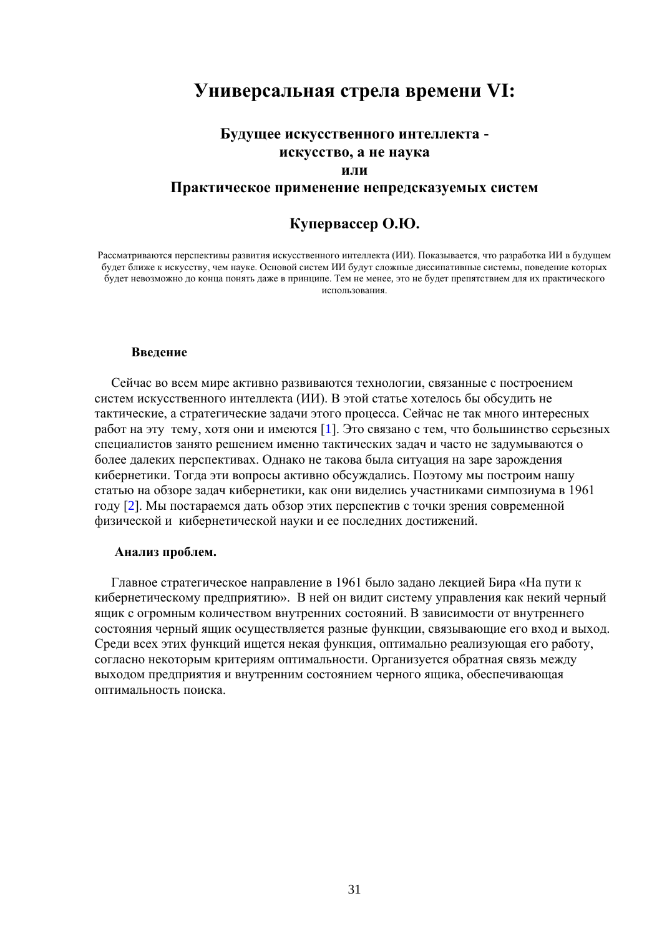## **Универсальная стрела времени VI:**

## **Будущее искусственного интеллекта искусство, а не наука**

#### **или**

#### **Практическое применение непредсказуемых систем**

#### **Купервассер О.Ю.**

Рассматриваются перспективы развития искусственного интеллекта (ИИ). Показывается, что разработка ИИ в будущем будет ближе к искусству, чем науке. Основой систем ИИ будут сложные диссипативные системы, поведение которых будет невозможно до конца понять даже в принципе. Тем не менее, это не будет препятствием для их практического использования.

#### **Введение**

 Сейчас во всем мире активно развиваются технологии, связанные с построением систем искусственного интеллекта (ИИ). В этой статье хотелось бы обсудить не тактические, а стратегические задачи этого процесса. Сейчас не так много интересных работ на эту тему, хотя они и имеются [1]. Это связано с тем, что большинство серьезных специалистов занято решением именно тактических задач и часто не задумываются о более далеких перспективах. Однако не такова была ситуация на заре зарождения кибернетики. Тогда эти вопросы активно обсуждались. Поэтому мы построим нашу статью на обзоре задач кибернетики, как они виделись участниками симпозиума в 1961 году [2]. Мы постараемся дать обзор этих перспектив с точки зрения современной физической и кибернетической науки и ее последних достижений.

#### **Анализ проблем.**

 Главное стратегическое направление в 1961 было задано лекцией Бира «На пути к кибернетическому предприятию». В ней он видит систему управления как некий черный ящик с огромным количеством внутренних состояний. В зависимости от внутреннего состояния черный ящик осуществляется разные функции, связывающие его вход и выход. Среди всех этих функций ищется некая функция, оптимально реализующая его работу, согласно некоторым критериям оптимальности. Организуется обратная связь между выходом предприятия и внутренним состоянием черного ящика, обеспечивающая оптимальность поиска.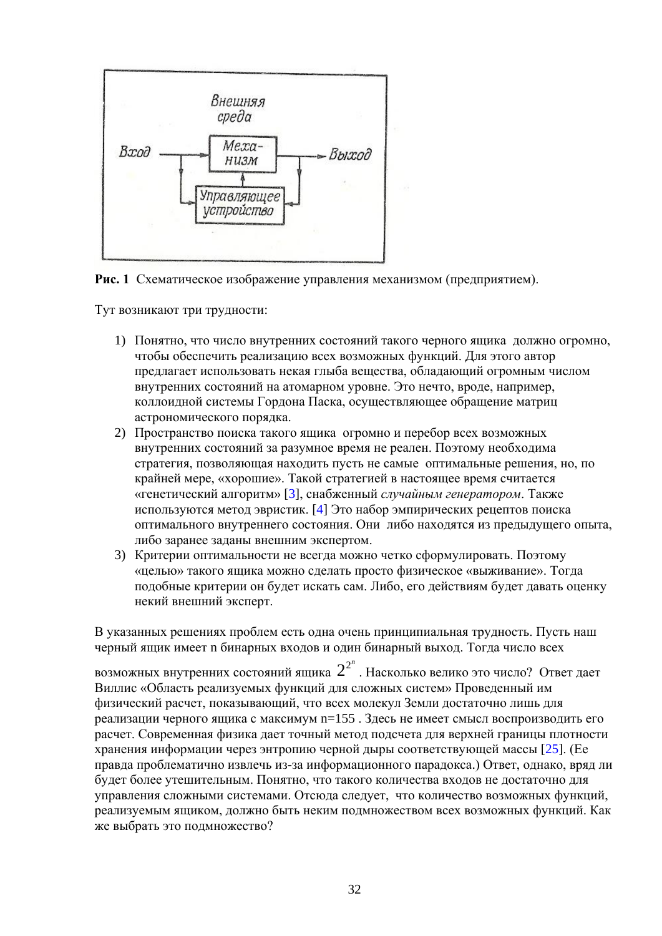

Рис. 1 Схематическое изображение управления механизмом (предприятием).

Тут возникают три трудности:

- 1) Понятно, что число внутренних состояний такого черного ящика должно огромно, чтобы обеспечить реализацию всех возможных функций. Для этого автор предлагает использовать некая глыба вещества, обладающий огромным числом внутренних состояний на атомарном уровне. Это нечто, вроде, например, коллоидной системы Гордона Паска, осуществляющее обращение матриц астрономического порядка.
- 2) Пространство поиска такого ящика огромно и перебор всех возможных внутренних состояний за разумное время не реален. Поэтому необходима стратегия, позволяющая находить пусть не самые оптимальные решения, но, по крайней мере, «хорошие». Такой стратегией в настоящее время считается «генетический алгоритм» [3], снабженный случайным генератором. Также используются метод эвристик. [4] Это набор эмпирических рецептов поиска оптимального внутреннего состояния. Они либо находятся из предыдущего опыта, либо заранее заданы внешним экспертом.
- 3) Критерии оптимальности не всегда можно четко сформулировать. Поэтому «целью» такого ящика можно сделать просто физическое «выживание». Тогда подобные критерии он будет искать сам. Либо, его действиям будет давать оценку некий внешний эксперт.

В указанных решениях проблем есть одна очень принципиальная трудность. Пусть наш черный ящик имеет n бинарных входов и один бинарный выход. Тогда число всех

возможных внутренних состояний ящика  $2^{2^n}$ . Насколько велико это число? Ответ дает Виллис «Область реализуемых функций для сложных систем» Проведенный им физический расчет, показывающий, что всех молекул Земли достаточно лишь для реализации черного ящика с максимум n=155. Здесь не имеет смысл воспроизводить его расчет. Современная физика дает точный метод подсчета для верхней границы плотности хранения информации через энтропию черной дыры соответствующей массы [25]. (Ее правда проблематично извлечь из-за информационного парадокса.) Ответ, однако, вряд ли будет более утешительным. Понятно, что такого количества входов не достаточно для управления сложными системами. Отсюда следует, что количество возможных функций, реализуемым ящиком, должно быть неким подмножеством всех возможных функций. Как же выбрать это подмножество?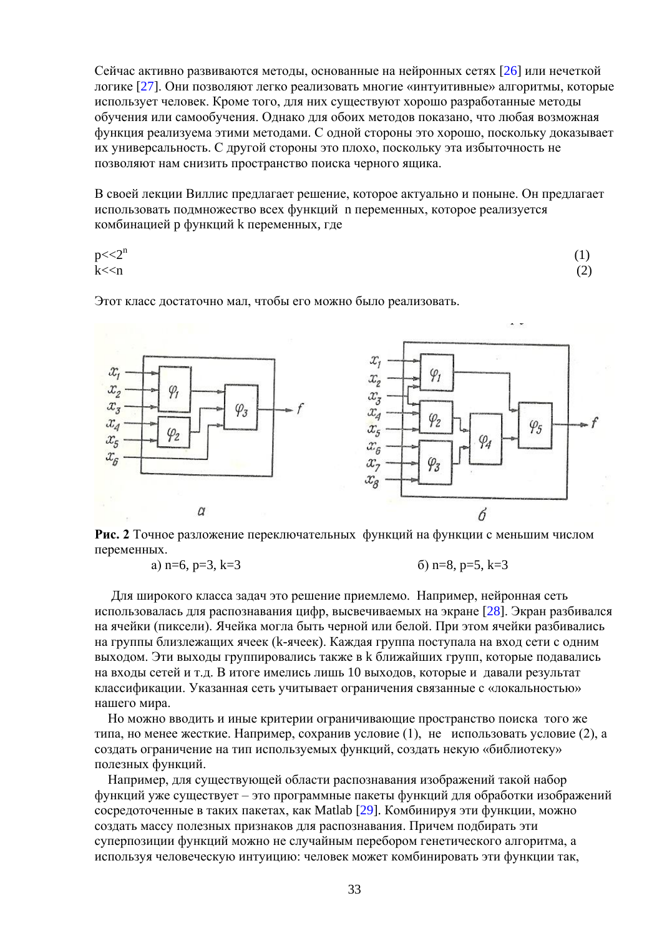Сейчас активно развиваются метолы, основанные на нейронных сетях [26] или нечеткой логике [27]. Они позволяют легко реализовать многие «интуитивные» алгоритмы, которые использует человек. Кроме того, для них существуют хорошо разработанные методы обучения или самообучения. Однако для обоих методов показано, что любая возможная функция реализуема этими методами. С одной стороны это хорошо, поскольку доказывает их универсальность. С другой стороны это плохо, поскольку эта избыточность не позволяют нам снизить пространство поиска черного ящика.

В своей лекции Виллис предлагает решение, которое актуально и поныне. Он предлагает использовать подмножество всех функций п переменных, которое реализуется комбинацией р функций k переменных, где

| $p<<2^n$ | (1) |
|----------|-----|
| k < n    | (2) |

Этот класс достаточно мал, чтобы его можно было реализовать.



Рис. 2 Точное разложение переключательных функций на функции с меньшим числом переменных.

> a)  $n=6$ ,  $p=3$ ,  $k=3$  $(6)$  n=8, p=5, k=3

Для широкого класса задач это решение приемлемо. Например, нейронная сеть использовалась для распознавания цифр, высвечиваемых на экране [28]. Экран разбивался на ячейки (пиксели). Ячейка могла быть черной или белой. При этом ячейки разбивались на группы близлежащих ячеек (k-ячеек). Каждая группа поступала на вход сети с одним выходом. Эти выходы группировались также в k ближайших групп, которые подавались на входы сетей и т.д. В итоге имелись лишь 10 выходов, которые и давали результат классификации. Указанная сеть учитывает ограничения связанные с «локальностью» нашего мира.

Но можно вводить и иные критерии ограничивающие пространство поиска того же типа, но менее жесткие. Например, сохранив условие (1), не использовать условие (2), а создать ограничение на тип используемых функций, создать некую «библиотеку» полезных функций.

Например, для существующей области распознавания изображений такой набор функций уже существует - это программные пакеты функций для обработки изображений сосредоточенные в таких пакетах, как Matlab [29]. Комбинируя эти функции, можно создать массу полезных признаков для распознавания. Причем подбирать эти суперпозиции функций можно не случайным перебором генетического алгоритма, а используя человеческую интуицию: человек может комбинировать эти функции так,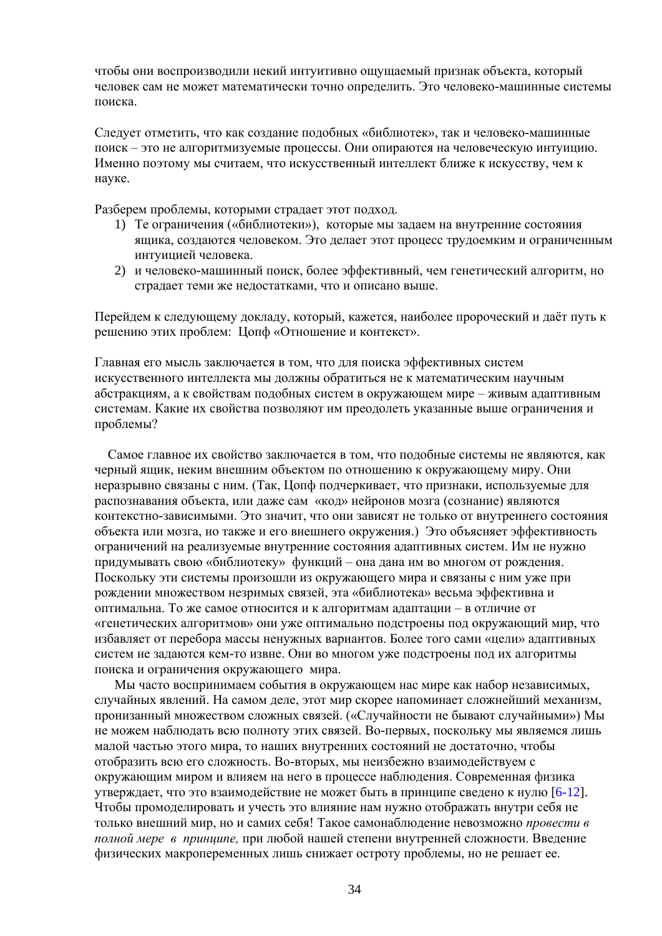чтобы они воспроизволили некий интуитивно ошушаемый признак объекта, который человек сам не может математически точно определить. Это человеко-машинные системы поиска.

Следует отметить, что как создание подобных «библиотек», так и человеко-машинные поиск - это не алгоритмизуемые процессы. Они опираются на человеческую интуицию. Именно поэтому мы считаем, что искусственный интеллект ближе к искусству, чем к науке.

Разберем проблемы, которыми страдает этот подход.

- 1) Те ограничения («библиотеки»), которые мы задаем на внутренние состояния ящика, создаются человеком. Это делает этот процесс трудоемким и ограниченным интуицией человека.
- 2) и человеко-машинный поиск, более эффективный, чем генетический алгоритм, но страдает теми же недостатками, что и описано выше.

Перейдем к следующему докладу, который, кажется, наиболее пророческий и даёт путь к решению этих проблем: Цопф «Отношение и контекст».

Главная его мысль заключается в том, что для поиска эффективных систем искусственного интеллекта мы должны обратиться не к математическим научным абстракциям, а к свойствам подобных систем в окружающем мире - живым адаптивным системам. Какие их свойства позволяют им преодолеть указанные выше ограничения и проблемы?

Самое главное их свойство заключается в том, что подобные системы не являются, как черный ящик, неким внешним объектом по отношению к окружающему миру. Они неразрывно связаны с ним. (Так, Цопф подчеркивает, что признаки, используемые для распознавания объекта, или даже сам «код» нейронов мозга (сознание) являются контекстно-зависимыми. Это значит, что они зависят не только от внутреннего состояния объекта или мозга, но также и его внешнего окружения.) Это объясняет эффективность ограничений на реализуемые внутренние состояния адаптивных систем. Им не нужно придумывать свою «библиотеку» функций - она дана им во многом от рождения. Поскольку эти системы произошли из окружающего мира и связаны с ним уже при рождении множеством незримых связей, эта «библиотека» весьма эффективна и оптимальна. То же самое относится и к алгоритмам адаптации - в отличие от «генетических алгоритмов» они уже оптимально подстроены под окружающий мир, что избавляет от перебора массы ненужных вариантов. Более того сами «цели» адаптивных систем не задаются кем-то извне. Они во многом уже подстроены под их алгоритмы поиска и ограничения окружающего мира.

Мы часто воспринимаем события в окружающем нас мире как набор независимых, случайных явлений. На самом деле, этот мир скорее напоминает сложнейший механизм, пронизанный множеством сложных связей. («Случайности не бывают случайными») Мы не можем наблюдать всю полноту этих связей. Во-первых, поскольку мы являемся лишь малой частью этого мира, то наших внутренних состояний не достаточно, чтобы отобразить всю его сложность. Во-вторых, мы неизбежно взаимодействуем с окружающим миром и влияем на него в процессе наблюдения. Современная физика утверждает, что это взаимодействие не может быть в принципе сведено к нулю [6-12]. Чтобы промоделировать и учесть это влияние нам нужно отображать внутри себя не только внешний мир, но и самих себя! Такое самонаблюдение невозможно провести в полной мере в принципе, при любой нашей степени внутренней сложности. Введение физических макропеременных лишь снижает остроту проблемы, но не решает ее.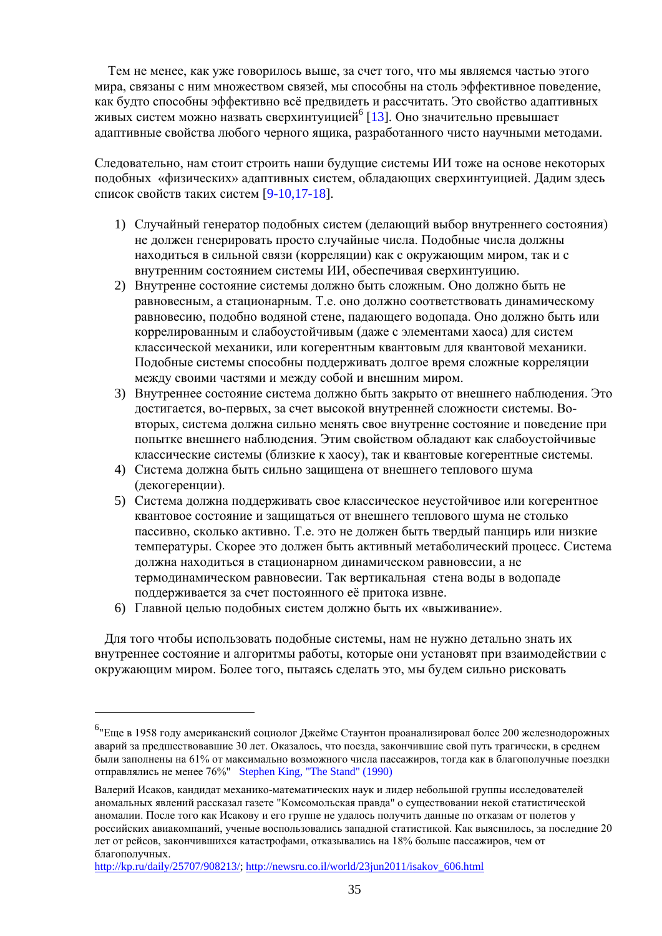Тем не менее, как уже говорилось выше, за счет того, что мы являемся частью этого мира, связаны с ним множеством связей, мы способны на столь эффективное поведение, как будто способны эффективно всё предвидеть и рассчитать. Это свойство адаптивных живых систем можно назвать сверхинтуицией<sup>6</sup> [13]. Оно значительно превышает адаптивные свойства любого черного ящика, разработанного чисто научными методами.

Следовательно, нам стоит строить наши будущие системы ИИ тоже на основе некоторых подобных «физических» адаптивных систем, обладающих сверхинтуицией. Дадим здесь список свойств таких систем [9-10,17-18].

- 1) Случайный генератор подобных систем (делающий выбор внутреннего состояния) не должен генерировать просто случайные числа. Подобные числа должны находиться в сильной связи (корреляции) как с окружающим миром, так и с внутренним состоянием системы ИИ, обеспечивая сверхинтуицию.
- 2) Внутренне состояние системы должно быть сложным. Оно должно быть не равновесным, а стационарным. Т.е. оно должно соответствовать динамическому равновесию, подобно водяной стене, падающего водопада. Оно должно быть или коррелированным и слабоустойчивым (даже с элементами хаоса) для систем классической механики, или когерентным квантовым для квантовой механики. Подобные системы способны поддерживать долгое время сложные корреляции между своими частями и между собой и внешним миром.
- 3) Внутреннее состояние система должно быть закрыто от внешнего наблюдения. Это лостигается, во-первых, за счет высокой внутренней сложности системы. Вовторых, система должна сильно менять свое внутренне состояние и поведение при попытке внешнего наблюдения. Этим свойством обладают как слабоустойчивые классические системы (близкие к хаосу), так и квантовые когерентные системы.
- 4) Система должна быть сильно защищена от внешнего теплового шума (декогеренции).
- 5) Система должна поддерживать свое классическое неустойчивое или когерентное квантовое состояние и защищаться от внешнего теплового шума не столько пассивно, сколько активно. Т.е. это не должен быть твердый панцирь или низкие температуры. Скорее это должен быть активный метаболический процесс. Система должна находиться в стационарном динамическом равновесии, а не термодинамическом равновесии. Так вертикальная стена воды в водопаде поддерживается за счет постоянного её притока извне.
- 6) Главной целью подобных систем должно быть их «выживание».

Для того чтобы использовать подобные системы, нам не нужно детально знать их внутреннее состояние и алгоритмы работы, которые они установят при взаимодействии с окружающим миром. Более того, пытаясь сделать это, мы будем сильно рисковать

<sup>&</sup>lt;sup>6</sup> Еще в 1958 году американский социолог Джеймс Стаунтон проанализировал более 200 железнодорожных аварий за предшествовавшие 30 лет. Оказалось, что поезда, закончившие свой путь трагически, в среднем были заполнены на 61% от максимально возможного числа пассажиров, тогда как в благополучные поездки отправлялись не менее 76%" Stephen King, "The Stand" (1990)

Валерий Исаков, кандидат механико-математических наук и лидер небольшой группы исследователей аномальных явлений рассказал газете "Комсомольская правда" о существовании некой статистической аномалии. После того как Исакову и его группе не удалось получить данные по отказам от полетов у российских авиакомпаний, ученые воспользовались западной статистикой. Как выяснилось, за последние 20 лет от рейсов, закончившихся катастрофами, отказывались на 18% больше пассажиров, чем от благополучных.

http://kp.ru/daily/25707/908213/; http://newsru.co.il/world/23jun2011/isakov 606.html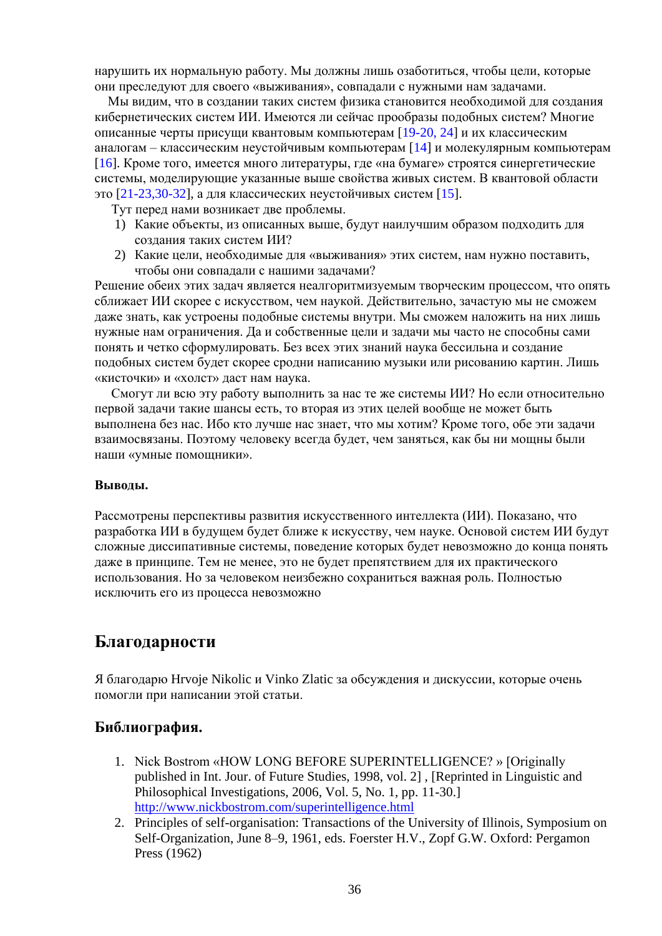нарушить их нормальную работу. Мы должны лишь озаботиться, чтобы цели, которые они преследуют для своего «выживания», совпадали с нужными нам задачами.

Мы видим, что в создании таких систем физика становится необходимой для создания кибернетических систем ИИ. Имеются ли сейчас прообразы подобных систем? Многие описанные черты присущи квантовым компьютерам [19-20, 24] и их классическим аналогам – классическим неустойчивым компьютерам [14] и молекулярным компьютерам [16]. Кроме того, имеется много литературы, где «на бумаге» строятся синергетические системы, моделирующие указанные выше свойства живых систем. В квантовой области это [21-23,30-32], а для классических неустойчивых систем [15].

- Тут перед нами возникает две проблемы.
- 1) Какие объекты, из описанных выше, будут наилучшим образом подходить для созлания таких систем ИИ?
- 2) Какие цели, необходимые для «выживания» этих систем, нам нужно поставить, чтобы они совпадали с нашими задачами?

Решение обеих этих задач является неалгоритмизуемым творческим процессом, что опять сближает ИИ скорее с искусством, чем наукой. Действительно, зачастую мы не сможем даже знать, как устроены подобные системы внутри. Мы сможем наложить на них лишь нужные нам ограничения. Да и собственные цели и задачи мы часто не способны сами понять и четко сформулировать. Без всех этих знаний наука бессильна и создание подобных систем будет скорее сродни написанию музыки или рисованию картин. Лишь «кисточки» и «холст» даст нам наука.

Смогут ли всю эту работу выполнить за нас те же системы ИИ? Но если относительно первой залачи такие шансы есть, то вторая из этих целей вообще не может быть выполнена без нас. Ибо кто лучше нас знает, что мы хотим? Кроме того, обе эти задачи взаимосвязаны. Поэтому человеку всегда будет, чем заняться, как бы ни мощны были наши «умные помощники».

#### Выволы.

Рассмотрены перспективы развития искусственного интеллекта (ИИ). Показано, что разработка ИИ в будущем будет ближе к искусству, чем науке. Основой систем ИИ будут сложные диссипативные системы, поведение которых будет невозможно до конца понять даже в принципе. Тем не менее, это не будет препятствием для их практического использования. Но за человеком неизбежно сохраниться важная роль. Полностью исключить его из процесса невозможно

### Благодарности

Я благодарю Hrvoje Nikolic и Vinko Zlatic за обсуждения и дискуссии, которые очень помогли при написании этой статьи.

#### Библиография.

- 1. Nick Bostrom «HOW LONG BEFORE SUPERINTELLIGENCE? » [Originally published in Int. Jour. of Future Studies, 1998, vol. 21, [Reprinted in Linguistic and Philosophical Investigations, 2006, Vol. 5, No. 1, pp. 11-30. http://www.nickbostrom.com/superintelligence.html
- 2. Principles of self-organisation: Transactions of the University of Illinois, Symposium on Self-Organization, June 8–9, 1961, eds. Foerster H.V., Zopf G.W. Oxford: Pergamon Press (1962)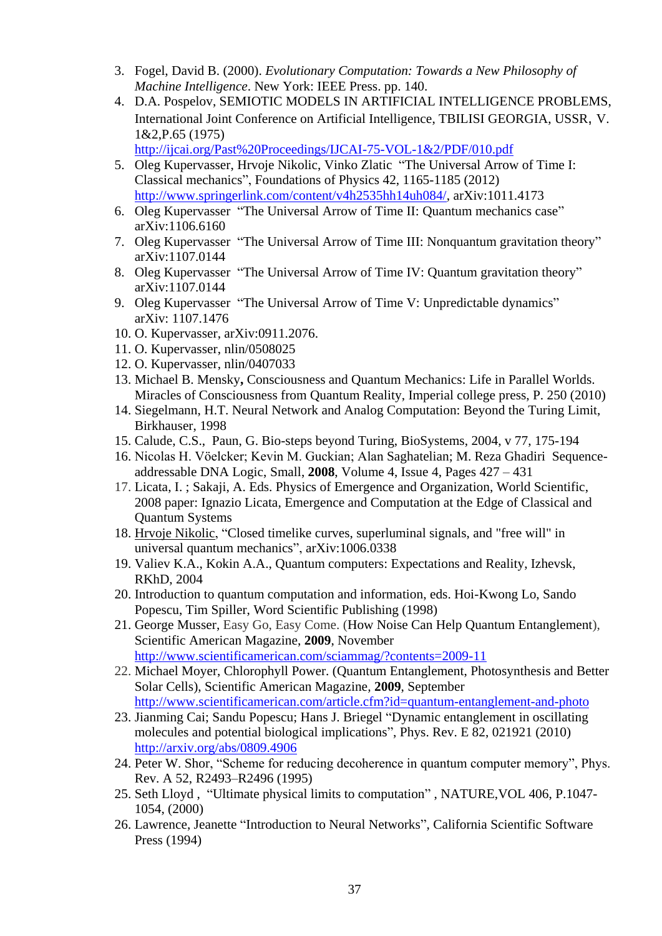- 3. Fogel, David B. (2000). *Evolutionary Computation: Towards a New Philosophy of Machine Intelligence*. New York: IEEE Press. pp. 140.
- 4. D.A. Pospelov, SEMIOTIC MODELS IN ARTIFICIAL INTELLIGENCE PROBLEMS, International Joint Conference on Artificial Intelligence, TBILISI GEORGIA, USSR, V. 1&2,P.65 (1975)

http://ijcai.org/Past%20Proceedings/IJCAI-75-VOL-1&2/PDF/010.pdf

- 5. Oleg Kupervasser, Hrvoje Nikolic, Vinko Zlatic "The Universal Arrow of Time I: Classical mechanics", Foundations of Physics 42, 1165-1185 (2012) [http://www.springerlink.com/content/v4h2535hh14uh084/,](http://www.springerlink.com/content/v4h2535hh14uh084/) arXiv:1011.4173
- 6. Oleg Kupervasser "The Universal Arrow of Time II: Quantum mechanics case" arXiv:1106.6160
- 7. Oleg Kupervasser "The Universal Arrow of Time III: Nonquantum gravitation theory" arXiv:1107.0144
- 8. Oleg Kupervasser "The Universal Arrow of Time IV: Quantum gravitation theory" arXiv:1107.0144
- 9. Oleg Kupervasser "The Universal Arrow of Time V: Unpredictable dynamics" arXiv: 1107.1476
- 10. O. Kupervasser, arXiv:0911.2076.
- 11. O. Kupervasser, nlin/0508025
- 12. O. Kupervasser, nlin/0407033
- 13. Michael B. Mensky**,** Consciousness and Quantum Mechanics: Life in Parallel Worlds. Miracles of Consciousness from Quantum Reality, Imperial college press, P. 250 (2010)
- 14. Siegelmann, H.T. Neural Network and Analog Computation: Beyond the Turing Limit, Birkhauser, 1998
- 15. Calude, C.S., Paun, G. Bio-steps beyond Turing, BioSystems, 2004, v 77, 175-194
- 16. Nicolas H. Vöelcker; Kevin M. Guckian; Alan Saghatelian; M. Reza Ghadiri Sequenceaddressable DNA Logic, Small, **2008**, Volume 4, Issue 4, Pages 427 – 431
- 17. Licata, I. ; Sakaji, A. Eds. Physics of Emergence and Organization, World Scientific, 2008 paper: Ignazio Licata, Emergence and Computation at the Edge of Classical and Quantum Systems
- 18. [Hrvoje Nikolic,](http://arxiv.org/find/cond-mat/1/au:+Nikolic_H/0/1/0/all/0/1) "Closed timelike curves, superluminal signals, and "free will" in universal quantum mechanics", arXiv:1006.0338
- 19. Valiev K.A., Kokin A.A., Quantum computers: Expectations and Reality, Izhevsk, RKhD, 2004
- 20. Introduction to quantum computation and information, eds. Hoi-Kwong Lo, Sando Popescu, Tim Spiller, Word Scientific Publishing (1998)
- 21. [George Musser,](http://www.scientificamerican.com/author.cfm?id=109) Easy Go, Easy Come. (How Noise Can Help Quantum Entanglement), Scientific American Magazine, **2009**, November <http://www.scientificamerican.com/sciammag/?contents=2009-11>
- 22. [Michael Moyer,](http://www.scientificamerican.com/author.cfm?id=1877) Chlorophyll Power. (Quantum Entanglement, Photosynthesis and Better Solar Cells), Scientific American Magazine*,* **2009**, September <http://www.scientificamerican.com/article.cfm?id=quantum-entanglement-and-photo>
- 23. Jianming Cai; Sandu Popescu; Hans J. Briegel "Dynamic entanglement in oscillating molecules and potential biological implications", Phys. Rev. E 82, 021921 (2010) <http://arxiv.org/abs/0809.4906>
- 24. Peter W. Shor, "Scheme for reducing decoherence in quantum computer memory", Phys. Rev. A 52, R2493–R2496 (1995)
- 25. Seth Lloyd , "Ultimate physical limits to computation" , NATURE,VOL 406, P.1047- 1054, (2000)
- 26. Lawrence, Jeanette "Introduction to Neural Networks", California Scientific Software Press (1994)